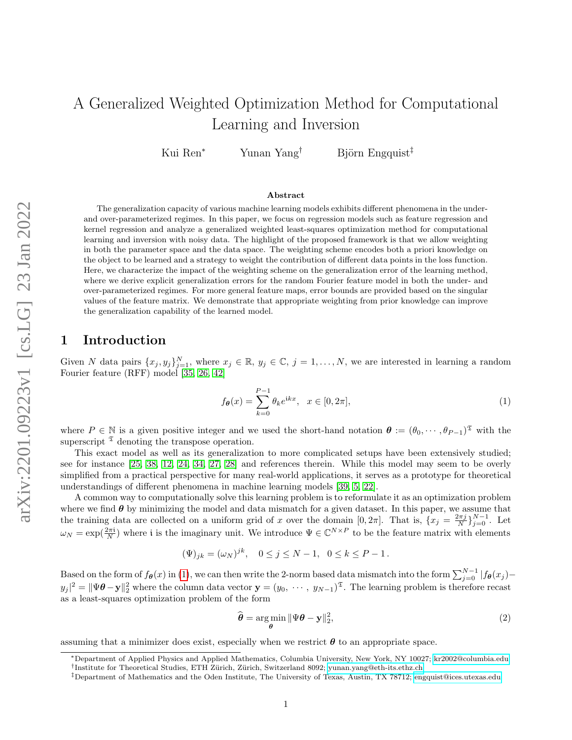Kui Ren<sup>∗</sup> Yunan Yang<sup>†</sup> Björn Engquist<sup>‡</sup>

#### Abstract

The generalization capacity of various machine learning models exhibits different phenomena in the underand over-parameterized regimes. In this paper, we focus on regression models such as feature regression and kernel regression and analyze a generalized weighted least-squares optimization method for computational learning and inversion with noisy data. The highlight of the proposed framework is that we allow weighting in both the parameter space and the data space. The weighting scheme encodes both a priori knowledge on the object to be learned and a strategy to weight the contribution of different data points in the loss function. Here, we characterize the impact of the weighting scheme on the generalization error of the learning method, where we derive explicit generalization errors for the random Fourier feature model in both the under- and over-parameterized regimes. For more general feature maps, error bounds are provided based on the singular values of the feature matrix. We demonstrate that appropriate weighting from prior knowledge can improve the generalization capability of the learned model.

## 1 Introduction

Given N data pairs  $\{x_j, y_j\}_{j=1}^N$ , where  $x_j \in \mathbb{R}$ ,  $y_j \in \mathbb{C}$ ,  $j = 1, ..., N$ , we are interested in learning a random Fourier feature (RFF) model [\[35,](#page-10-0) [26,](#page-10-1) [42\]](#page-11-0)

<span id="page-0-0"></span>
$$
f_{\theta}(x) = \sum_{k=0}^{P-1} \theta_k e^{ikx}, \quad x \in [0, 2\pi],
$$
 (1)

where  $P \in \mathbb{N}$  is a given positive integer and we used the short-hand notation  $\boldsymbol{\theta} := (\theta_0, \dots, \theta_{P-1})^{\mathfrak{T}}$  with the superscript  $\mathfrak I$  denoting the transpose operation.

This exact model as well as its generalization to more complicated setups have been extensively studied; see for instance [\[25,](#page-10-2) [38,](#page-10-3) [12,](#page-9-0) [24,](#page-10-4) [34,](#page-10-5) [27,](#page-10-6) [28\]](#page-10-7) and references therein. While this model may seem to be overly simplified from a practical perspective for many real-world applications, it serves as a prototype for theoretical understandings of different phenomena in machine learning models [\[39,](#page-11-1) [5,](#page-9-1) [22\]](#page-10-8).

A common way to computationally solve this learning problem is to reformulate it as an optimization problem where we find  $\theta$  by minimizing the model and data mismatch for a given dataset. In this paper, we assume that the training data are collected on a uniform grid of x over the domain  $[0, 2\pi]$ . That is,  $\{x_j = \frac{2\pi j}{N}\}_{j=0}^{N-1}$ . Let  $\omega_N = \exp(\frac{2\pi i}{N})$  where i is the imaginary unit. We introduce  $\Psi \in \mathbb{C}^{N \times P}$  to be the feature matrix with elements

$$
(\Psi)_{jk} = (\omega_N)^{jk}, \quad 0 \le j \le N - 1, \quad 0 \le k \le P - 1.
$$

Based on the form of  $f_{\theta}(x)$  in [\(1\)](#page-0-0), we can then write the 2-norm based data mismatch into the form  $\sum_{j=0}^{N-1} |f_{\theta}(x_j) - f_{\theta}(x_j)|$  $y_j|^2 = \|\Psi \theta - \mathbf{y}\|_2^2$  where the column data vector  $\mathbf{y} = (y_0, \dots, y_{N-1})^{\mathfrak{T}}$ . The learning problem is therefore recast as a least-squares optimization problem of the form

<span id="page-0-1"></span>
$$
\widehat{\boldsymbol{\theta}} = \underset{\boldsymbol{\theta}}{\arg\min} \|\Psi\boldsymbol{\theta} - \mathbf{y}\|_2^2, \tag{2}
$$

assuming that a minimizer does exist, especially when we restrict  $\boldsymbol{\theta}$  to an appropriate space.

<sup>∗</sup>Department of Applied Physics and Applied Mathematics, Columbia University, New York, NY 10027; [kr2002@columbia.edu](mailto:kr2002@columbia.edu) <sup>†</sup>Institute for Theoretical Studies, ETH Zürich, Zürich, Switzerland 8092; [yunan.yang@eth-its.ethz.ch](mailto:yunan.yang@eth-its.ethz.ch)

<sup>‡</sup>Department of Mathematics and the Oden Institute, The University of Texas, Austin, TX 78712; [engquist@ices.utexas.edu](mailto:engquist@oden.utexas.edu)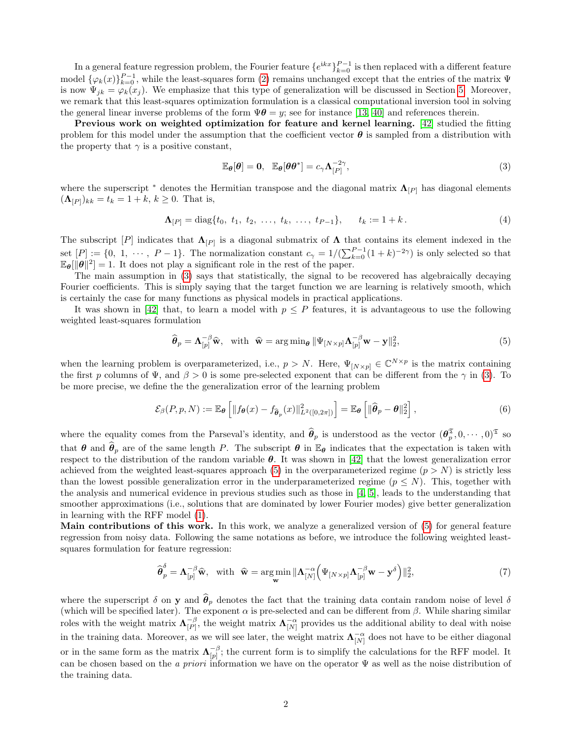In a general feature regression problem, the Fourier feature  $\{e^{ikx}\}_{k=0}^{P-1}$  is then replaced with a different feature model  $\{\varphi_k(x)\}_{k=0}^{P-1}$ , while the least-squares form [\(2\)](#page-0-1) remains unchanged except that the entries of the matrix  $\Psi$ is now  $\Psi_{jk} = \varphi_k(x_j)$ . We emphasize that this type of generalization will be discussed in Section [5.](#page-7-0) Moreover, we remark that this least-squares optimization formulation is a classical computational inversion tool in solving the general linear inverse problems of the form  $\Psi \theta = y$ ; see for instance [\[13,](#page-9-2) [40\]](#page-11-2) and references therein.

Previous work on weighted optimization for feature and kernel learning. [\[42\]](#page-11-0) studied the fitting problem for this model under the assumption that the coefficient vector  $\theta$  is sampled from a distribution with the property that  $\gamma$  is a positive constant,

<span id="page-1-3"></span><span id="page-1-0"></span>
$$
\mathbb{E}_{\theta}[\theta] = 0, \quad \mathbb{E}_{\theta}[\theta \theta^*] = c_{\gamma} \Lambda_{[P]}^{-2\gamma}, \tag{3}
$$

where the superscript  $*$  denotes the Hermitian transpose and the diagonal matrix  $\Lambda_{[P]}$  has diagonal elements  $({\bf \Lambda}_{[P]})_{kk} = t_k = 1 + k, k \ge 0$ . That is,

$$
\Lambda_{[P]} = \text{diag}\{t_0, t_1, t_2, \dots, t_k, \dots, t_{P-1}\}, \qquad t_k := 1 + k. \tag{4}
$$

The subscript  $[P]$  indicates that  $\Lambda_{[P]}$  is a diagonal submatrix of  $\Lambda$  that contains its element indexed in the set  $[P] := \{0, 1, \cdots, P-1\}$ . The normalization constant  $c_{\gamma} = 1/(\sum_{k=0}^{P-1}(1+k)^{-2\gamma})$  is only selected so that  $\mathbb{E}_{\theta}[\|\theta\|^2] = 1$ . It does not play a significant role in the rest of the paper.

The main assumption in [\(3\)](#page-1-0) says that statistically, the signal to be recovered has algebraically decaying Fourier coefficients. This is simply saying that the target function we are learning is relatively smooth, which is certainly the case for many functions as physical models in practical applications.

It was shown in [\[42\]](#page-11-0) that, to learn a model with  $p \leq P$  features, it is advantageous to use the following weighted least-squares formulation

<span id="page-1-4"></span><span id="page-1-1"></span>
$$
\widehat{\boldsymbol{\theta}}_p = \mathbf{\Lambda}_{[p]}^{-\beta} \widehat{\mathbf{w}}, \quad \text{with} \quad \widehat{\mathbf{w}} = \arg \min_{\boldsymbol{\theta}} \|\Psi_{[N \times p]} \mathbf{\Lambda}_{[p]}^{-\beta} \mathbf{w} - \mathbf{y}\|_2^2,
$$
\n<sup>(5)</sup>

when the learning problem is overparameterized, i.e.,  $p > N$ . Here,  $\Psi_{[N \times p]} \in \mathbb{C}^{N \times p}$  is the matrix containing the first p columns of  $\Psi$ , and  $\beta > 0$  is some pre-selected exponent that can be different from the  $\gamma$  in [\(3\)](#page-1-0). To be more precise, we define the the generalization error of the learning problem

$$
\mathcal{E}_{\beta}(P, p, N) := \mathbb{E}_{\theta}\left[\|f_{\theta}(x) - f_{\widehat{\theta}_p}(x)\|_{L^2([0, 2\pi])}^2\right] = \mathbb{E}_{\theta}\left[\|\widehat{\theta}_p - \theta\|_2^2\right],\tag{6}
$$

where the equality comes from the Parseval's identity, and  $\hat{\theta}_p$  is understood as the vector  $(\theta_p^{\mathfrak{T}}, 0, \dots, 0)^{\mathfrak{T}}$  so that  $\theta$  and  $\hat{\theta}_p$  are of the same length P. The subscript  $\theta$  in  $\mathbb{E}_{\theta}$  indicates that the expectation is taken with respect to the distribution of the random variable  $\theta$ . It was shown in [\[42\]](#page-11-0) that the lowest generalization error achieved from the weighted least-squares approach [\(5\)](#page-1-1) in the overparameterized regime  $(p > N)$  is strictly less than the lowest possible generalization error in the underparameterized regime  $(p \leq N)$ . This, together with the analysis and numerical evidence in previous studies such as those in [\[4,](#page-9-3) [5\]](#page-9-1), leads to the understanding that smoother approximations (i.e., solutions that are dominated by lower Fourier modes) give better generalization in learning with the RFF model [\(1\)](#page-0-0).

Main contributions of this work. In this work, we analyze a generalized version of  $(5)$  for general feature regression from noisy data. Following the same notations as before, we introduce the following weighted leastsquares formulation for feature regression:

<span id="page-1-2"></span>
$$
\widehat{\boldsymbol{\theta}}_p^{\delta} = \mathbf{\Lambda}_{[p]}^{-\beta} \widehat{\mathbf{w}}, \quad \text{with} \quad \widehat{\mathbf{w}} = \underset{\mathbf{w}}{\text{arg min}} \|\mathbf{\Lambda}_{[N]}^{-\alpha} \left( \Psi_{[N \times p]} \mathbf{\Lambda}_{[p]}^{-\beta} \mathbf{w} - \mathbf{y}^{\delta} \right)\|_2^2, \tag{7}
$$

where the superscript  $\delta$  on y and  $\hat{\theta}_p$  denotes the fact that the training data contain random noise of level  $\delta$ (which will be specified later). The exponent  $\alpha$  is pre-selected and can be different from  $\beta$ . While sharing similar roles with the weight matrix  $\Lambda_{\{p\}}^{-\beta}$  $\bigcap_{[P]}^{-\beta}$ , the weight matrix  $\mathbf{\Lambda}_{[N]}^{-\alpha}$  provides us the additional ability to deal with noise in the training data. Moreover, as we will see later, the weight matrix  $\Lambda_{[N]}^{-\alpha}$  does not have to be either diagonal or in the same form as the matrix  $\Lambda_{\text{in}}^{-\beta}$  $\binom{-\beta}{[p]}$ ; the current form is to simplify the calculations for the RFF model. It can be chosen based on the a priori information we have on the operator  $\Psi$  as well as the noise distribution of the training data.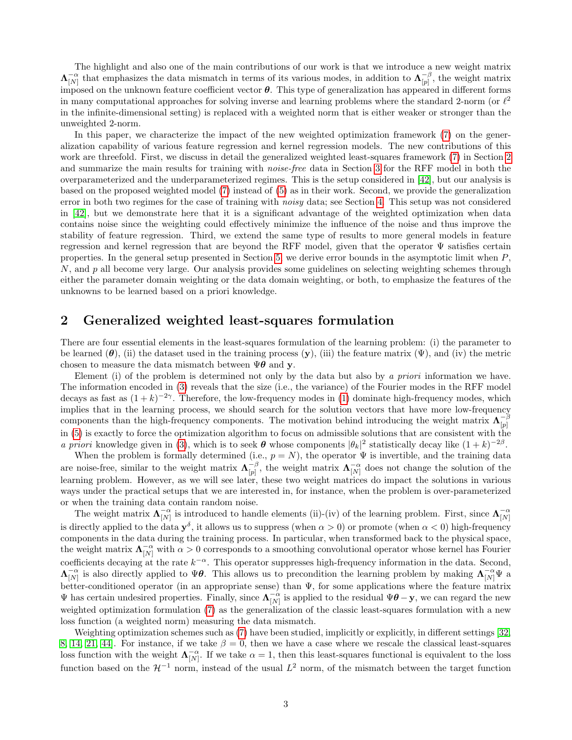The highlight and also one of the main contributions of our work is that we introduce a new weight matrix  $\Lambda_{[N]}^{-\alpha}$  that emphasizes the data mismatch in terms of its various modes, in addition to  $\Lambda_{[p]}^{-\beta}$  $\begin{bmatrix} -\rho \\ p \end{bmatrix}$ , the weight matrix imposed on the unknown feature coefficient vector  $\theta$ . This type of generalization has appeared in different forms in many computational approaches for solving inverse and learning problems where the standard 2-norm (or  $\ell^2$ in the infinite-dimensional setting) is replaced with a weighted norm that is either weaker or stronger than the unweighted 2-norm.

In this paper, we characterize the impact of the new weighted optimization framework [\(7\)](#page-1-2) on the generalization capability of various feature regression and kernel regression models. The new contributions of this work are threefold. First, we discuss in detail the generalized weighted least-squares framework [\(7\)](#page-1-2) in Section [2](#page-2-0) and summarize the main results for training with *noise-free* data in Section [3](#page-3-0) for the RFF model in both the overparameterized and the underparameterized regimes. This is the setup considered in [\[42\]](#page-11-0), but our analysis is based on the proposed weighted model [\(7\)](#page-1-2) instead of [\(5\)](#page-1-1) as in their work. Second, we provide the generalization error in both two regimes for the case of training with *noisy* data; see Section [4.](#page-5-0) This setup was not considered in [\[42\]](#page-11-0), but we demonstrate here that it is a significant advantage of the weighted optimization when data contains noise since the weighting could effectively minimize the influence of the noise and thus improve the stability of feature regression. Third, we extend the same type of results to more general models in feature regression and kernel regression that are beyond the RFF model, given that the operator Ψ satisfies certain properties. In the general setup presented in Section [5,](#page-7-0) we derive error bounds in the asymptotic limit when  $P$ ,  $N$ , and p all become very large. Our analysis provides some guidelines on selecting weighting schemes through either the parameter domain weighting or the data domain weighting, or both, to emphasize the features of the unknowns to be learned based on a priori knowledge.

# <span id="page-2-0"></span>2 Generalized weighted least-squares formulation

There are four essential elements in the least-squares formulation of the learning problem: (i) the parameter to be learned  $(\theta)$ , (ii) the dataset used in the training process  $(\mathbf{y})$ , (iii) the feature matrix  $(\Psi)$ , and (iv) the metric chosen to measure the data mismatch between  $\Psi \theta$  and y.

Element (i) of the problem is determined not only by the data but also by a priori information we have. The information encoded in [\(3\)](#page-1-0) reveals that the size (i.e., the variance) of the Fourier modes in the RFF model decays as fast as  $(1 + k)^{-2\gamma}$ . Therefore, the low-frequency modes in [\(1\)](#page-0-0) dominate high-frequency modes, which implies that in the learning process, we should search for the solution vectors that have more low-frequency components than the high-frequency components. The motivation behind introducing the weight matrix  $\Lambda_{\text{in}}^{-\beta}$  $[p]$ in [\(5\)](#page-1-1) is exactly to force the optimization algorithm to focus on admissible solutions that are consistent with the a priori knowledge given in [\(3\)](#page-1-0), which is to seek  $\theta$  whose components  $|\theta_k|^2$  statistically decay like  $(1 + k)^{-2\beta}$ .

When the problem is formally determined (i.e.,  $p = N$ ), the operator  $\Psi$  is invertible, and the training data are noise-free, similar to the weight matrix  $\Lambda_{\scriptscriptstyle\text{inj}}^{-\beta}$  $\begin{bmatrix} -\beta \\ p \end{bmatrix}$ , the weight matrix  $\mathbf{\Lambda}_{[N]}^{-\alpha}$  does not change the solution of the learning problem. However, as we will see later, these two weight matrices do impact the solutions in various ways under the practical setups that we are interested in, for instance, when the problem is over-parameterized or when the training data contain random noise.

The weight matrix  $\Lambda_{[N]}^{-\alpha}$  is introduced to handle elements (ii)-(iv) of the learning problem. First, since  $\Lambda_{[N]}^{-\alpha}$ is directly applied to the data  $y^{\delta}$ , it allows us to suppress (when  $\alpha > 0$ ) or promote (when  $\alpha < 0$ ) high-frequency components in the data during the training process. In particular, when transformed back to the physical space, the weight matrix  $\Lambda_{[N]}^{-\alpha}$  with  $\alpha > 0$  corresponds to a smoothing convolutional operator whose kernel has Fourier coefficients decaying at the rate  $k^{-\alpha}$ . This operator suppresses high-frequency information in the data. Second,  $\Lambda_{[N]}^{-\alpha}$  is also directly applied to  $\Psi\theta$ . This allows us to precondition the learning problem by making  $\Lambda_{[N]}^{-\alpha}\Psi$  a better-conditioned operator (in an appropriate sense) than  $\Psi$ , for some applications where the feature matrix  $\Psi$  has certain undesired properties. Finally, since  $\Lambda_{[N]}^{-\alpha}$  is applied to the residual  $\Psi\theta - \mathbf{y}$ , we can regard the new weighted optimization formulation [\(7\)](#page-1-2) as the generalization of the classic least-squares formulation with a new loss function (a weighted norm) measuring the data mismatch.

Weighting optimization schemes such as [\(7\)](#page-1-2) have been studied, implicitly or explicitly, in different settings [\[32,](#page-10-9) [8,](#page-9-4) [14,](#page-9-5) [21,](#page-10-10) [44\]](#page-11-3). For instance, if we take  $\beta = 0$ , then we have a case where we rescale the classical least-squares loss function with the weight  $\Lambda_{[N]}^{-\alpha}$ . If we take  $\alpha = 1$ , then this least-squares functional is equivalent to the loss function based on the  $\mathcal{H}^{-1}$  norm, instead of the usual  $L^2$  norm, of the mismatch between the target function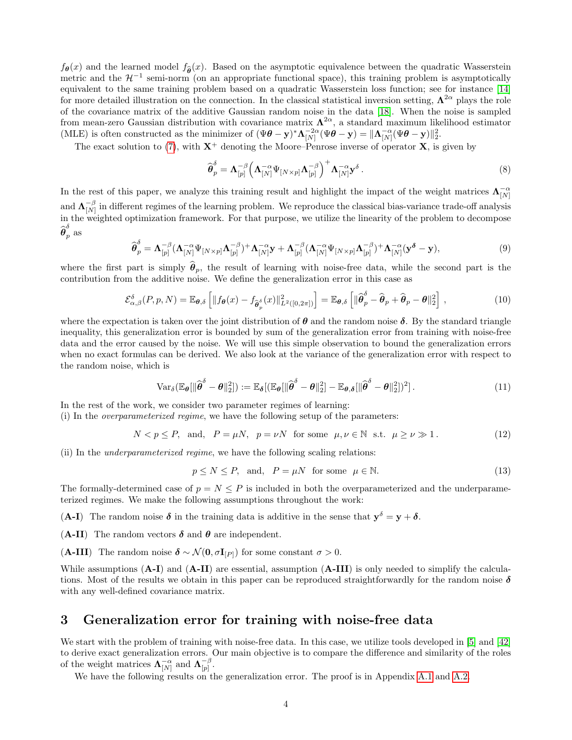$f_{\theta}(x)$  and the learned model  $f_{\hat{\theta}}(x)$ . Based on the asymptotic equivalence between the quadratic Wasserstein metric and the  $\mathcal{H}^{-1}$  semi-norm (on an appropriate functional space), this training problem is asymptotically equivalent to the same training problem based on a quadratic Wasserstein loss function; see for instance [\[14\]](#page-9-5) for more detailed illustration on the connection. In the classical statistical inversion setting,  $\Lambda^{2\alpha}$  plays the role of the covariance matrix of the additive Gaussian random noise in the data [\[18\]](#page-9-6). When the noise is sampled from mean-zero Gaussian distribution with covariance matrix  $\Lambda^{2\alpha}$ , a standard maximum likelihood estimator (MLE) is often constructed as the minimizer of  $(\Psi \theta - \mathbf{y})^* \Lambda_{[N]}^{-2\alpha} (\Psi \theta - \mathbf{y}) = ||\Lambda_{[N]}^{-\alpha} (\Psi \theta - \mathbf{y})||_2^2$ .

The exact solution to [\(7\)](#page-1-2), with  $X^+$  denoting the Moore–Penrose inverse of operator X, is given by

$$
\widehat{\boldsymbol{\theta}}_p^{\delta} = \boldsymbol{\Lambda}_{[p]}^{-\beta} \left( \boldsymbol{\Lambda}_{[N]}^{-\alpha} \Psi_{[N \times p]} \boldsymbol{\Lambda}_{[p]}^{-\beta} \right)^+ \boldsymbol{\Lambda}_{[N]}^{-\alpha} \mathbf{y}^{\delta} . \tag{8}
$$

In the rest of this paper, we analyze this training result and highlight the impact of the weight matrices  $\Lambda_{[N]}^{-\alpha}$ and  $\boldsymbol{\Lambda}_{\text{\tiny{[N]}}}^{-\beta}$  $\frac{-\rho}{[N]}$  in different regimes of the learning problem. We reproduce the classical bias-variance trade-off analysis in the weighted optimization framework. For that purpose, we utilize the linearity of the problem to decompose  $\widehat{\boldsymbol \theta}_p^\delta$  as

$$
\widehat{\boldsymbol{\theta}}_p^{\delta} = \boldsymbol{\Lambda}_{[p]}^{-\beta} (\boldsymbol{\Lambda}_{[N]}^{-\alpha} \boldsymbol{\Psi}_{[N \times p]} \boldsymbol{\Lambda}_{[p]}^{-\beta})^+ \boldsymbol{\Lambda}_{[N]}^{-\alpha} \mathbf{y} + \boldsymbol{\Lambda}_{[p]}^{-\beta} (\boldsymbol{\Lambda}_{[N]}^{-\alpha} \boldsymbol{\Psi}_{[N \times p]} \boldsymbol{\Lambda}_{[p]}^{-\beta})^+ \boldsymbol{\Lambda}_{[N]}^{-\alpha} (\mathbf{y}^{\delta} - \mathbf{y}), \tag{9}
$$

where the first part is simply  $\hat{\theta}_p$ , the result of learning with noise-free data, while the second part is the contribution from the additive noise. We define the generalization error in this case as

$$
\mathcal{E}_{\alpha,\beta}^{\delta}(P,p,N) = \mathbb{E}_{\theta,\delta}\left[\|f_{\theta}(x) - f_{\widehat{\theta}_{p}^{\delta}}(x)\|_{L^{2}([0,2\pi])}^{2}\right] = \mathbb{E}_{\theta,\delta}\left[\|\widehat{\theta}_{p}^{\delta} - \widehat{\theta}_{p} + \widehat{\theta}_{p} - \theta\|_{2}^{2}\right],\tag{10}
$$

where the expectation is taken over the joint distribution of  $\theta$  and the random noise  $\delta$ . By the standard triangle inequality, this generalization error is bounded by sum of the generalization error from training with noise-free data and the error caused by the noise. We will use this simple observation to bound the generalization errors when no exact formulas can be derived. We also look at the variance of the generalization error with respect to the random noise, which is

$$
\text{Var}_{\delta}(\mathbb{E}_{\theta}[\|\widehat{\boldsymbol{\theta}}^{\delta} - \boldsymbol{\theta}\|_{2}^{2}]) := \mathbb{E}_{\delta}[(\mathbb{E}_{\theta}[\|\widehat{\boldsymbol{\theta}}^{\delta} - \boldsymbol{\theta}\|_{2}^{2}] - \mathbb{E}_{\theta,\delta}[\|\widehat{\boldsymbol{\theta}}^{\delta} - \boldsymbol{\theta}\|_{2}^{2}])^{2}].
$$
\n(11)

In the rest of the work, we consider two parameter regimes of learning:

(i) In the overparameterized regime, we have the following setup of the parameters:

$$
N < p \le P, \quad \text{and}, \quad P = \mu N, \quad p = \nu N \quad \text{for some} \quad \mu, \nu \in \mathbb{N} \quad \text{s.t.} \quad \mu \ge \nu \gg 1 \,. \tag{12}
$$

(ii) In the underparameterized regime, we have the following scaling relations:

<span id="page-3-2"></span><span id="page-3-1"></span>
$$
p \le N \le P, \text{ and, } P = \mu N \text{ for some } \mu \in \mathbb{N}.
$$
 (13)

The formally-determined case of  $p = N \leq P$  is included in both the overparameterized and the underparameterized regimes. We make the following assumptions throughout the work:

(A-I) The random noise  $\delta$  in the training data is additive in the sense that  $y^{\delta} = y + \delta$ .

(A-II) The random vectors  $\delta$  and  $\theta$  are independent.

(A-III) The random noise  $\delta \sim \mathcal{N}(0, \sigma I_{[p]})$  for some constant  $\sigma > 0$ .

While assumptions (A-I) and (A-II) are essential, assumption (A-III) is only needed to simplify the calculations. Most of the results we obtain in this paper can be reproduced straightforwardly for the random noise  $\delta$ with any well-defined covariance matrix.

### <span id="page-3-0"></span>3 Generalization error for training with noise-free data

We start with the problem of training with noise-free data. In this case, we utilize tools developed in [\[5\]](#page-9-1) and [\[42\]](#page-11-0) to derive exact generalization errors. Our main objective is to compare the difference and similarity of the roles of the weight matrices  $\mathbf{\Lambda}_{[N]}^{-\alpha}$  and  $\mathbf{\Lambda}_{[p]}^{-\beta}$  $\frac{-\beta}{[p]}$ .

<span id="page-3-3"></span>We have the following results on the generalization error. The proof is in Appendix [A.1](#page-12-0) and [A.2.](#page-16-0)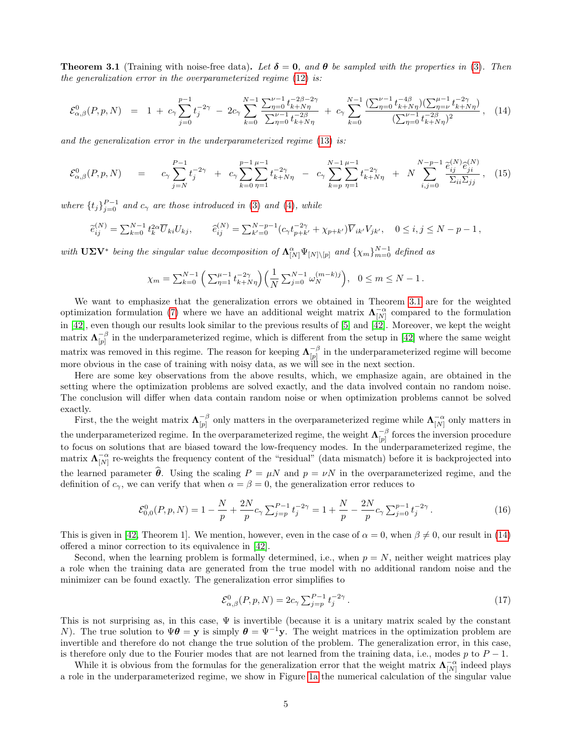**Theorem 3.1** (Training with noise-free data). Let  $\delta = 0$ , and  $\theta$  be sampled with the properties in [\(3\)](#page-1-0). Then the generalization error in the overparameterized regime  $(12)$  is:

$$
\mathcal{E}_{\alpha,\beta}^{0}(P,p,N) = 1 + c_{\gamma} \sum_{j=0}^{p-1} t_j^{-2\gamma} - 2c_{\gamma} \sum_{k=0}^{N-1} \frac{\sum_{\eta=0}^{\nu-1} t_{k+N\eta}^{-2\beta-2\gamma}}{\sum_{\eta=0}^{\nu-1} t_{k+N\eta}^{-2\beta}} + c_{\gamma} \sum_{k=0}^{N-1} \frac{(\sum_{\eta=0}^{\nu-1} t_{k+N\eta}^{-4\beta})(\sum_{\eta=\nu}^{\mu-1} t_{k+N\eta}^{-2\gamma})}{(\sum_{\eta=0}^{\nu-1} t_{k+N\eta}^{-2\beta})},
$$
(14)

and the generalization error in the underparameterized regime  $(13)$  is:

$$
\mathcal{E}_{\alpha,\beta}^{0}(P,p,N) = c_{\gamma} \sum_{j=N}^{P-1} t_j^{-2\gamma} + c_{\gamma} \sum_{k=0}^{p-1} \sum_{\eta=1}^{\mu-1} t_{k+N\eta}^{-2\gamma} - c_{\gamma} \sum_{k=p}^{N-1} \sum_{\eta=1}^{\mu-1} t_{k+N\eta}^{-2\gamma} + N \sum_{i,j=0}^{N-p-1} \frac{\hat{e}_{ij}^{(N)} \hat{e}_{ji}^{(N)}}{\sum_{ii} \sum_{jj}} , \quad (15)
$$

where  $\{t_j\}_{j=0}^{P-1}$  and  $c_\gamma$  are those introduced in [\(3\)](#page-1-0) and [\(4\)](#page-1-3), while

$$
\widetilde{e}_{ij}^{(N)} = \sum_{k=0}^{N-1} t_k^{2\alpha} \overline{U}_{ki} U_{kj}, \qquad \widehat{e}_{ij}^{(N)} = \sum_{k'=0}^{N-p-1} (c_{\gamma} t_{p+k'}^{-2\gamma} + \chi_{p+k'}) \overline{V}_{ik'} V_{jk'}, \quad 0 \le i, j \le N-p-1,
$$

with  $U\Sigma V^*$  being the singular value decomposition of  $\Lambda_{[N]}^{\alpha} \Psi_{[N]\setminus [p]}$  and  $\{\chi_m\}_{m=0}^{N-1}$  defined as

<span id="page-4-0"></span>
$$
\chi_m = \sum_{k=0}^{N-1} \left( \sum_{\eta=1}^{\mu-1} t_{k+N\eta}^{-2\gamma} \right) \left( \frac{1}{N} \sum_{j=0}^{N-1} \omega_N^{(m-k)j} \right), \quad 0 \le m \le N-1.
$$

We want to emphasize that the generalization errors we obtained in Theorem [3.1](#page-3-3) are for the weighted optimization formulation [\(7\)](#page-1-2) where we have an additional weight matrix  $\Lambda_{[N]}^{-\alpha}$  compared to the formulation in [\[42\]](#page-11-0), even though our results look similar to the previous results of [\[5\]](#page-9-1) and [\[42\]](#page-11-0). Moreover, we kept the weight matrix  $\mathbf{\Lambda}_{\text{inl}}^{-\beta}$  $\frac{-\beta}{|p|}$  in the underparameterized regime, which is different from the setup in [\[42\]](#page-11-0) where the same weight matrix was removed in this regime. The reason for keeping  $\Lambda_{\scriptscriptstyle{[n]}}^{-\beta}$  $\frac{-\beta}{|p|}$  in the underparameterized regime will become more obvious in the case of training with noisy data, as we will see in the next section.

Here are some key observations from the above results, which, we emphasize again, are obtained in the setting where the optimization problems are solved exactly, and the data involved contain no random noise. The conclusion will differ when data contain random noise or when optimization problems cannot be solved exactly.

First, the the weight matrix  $\Lambda_{\text{int}}^{-\beta}$  $\bigcap_{p=0}^{\infty}$  only matters in the overparameterized regime while  $\Lambda_{[N]}^{-\alpha}$  only matters in the underparameterized regime. In the overparameterized regime, the weight  $\Lambda_{\scriptscriptstyle{[n]}}^{-\beta}$  $\begin{bmatrix} -\beta \\ p \end{bmatrix}$  forces the inversion procedure to focus on solutions that are biased toward the low-frequency modes. In the underparameterized regime, the matrix  $\Lambda_{[N]}^{-\alpha}$  re-weights the frequency content of the "residual" (data mismatch) before it is backprojected into the learned parameter  $\hat{\theta}$ . Using the scaling  $P = \mu N$  and  $p = \nu N$  in the overparameterized regime, and the definition of  $c_{\gamma}$ , we can verify that when  $\alpha = \beta = 0$ , the generalization error reduces to

$$
\mathcal{E}_{0,0}^0(P,p,N) = 1 - \frac{N}{p} + \frac{2N}{p} c_\gamma \sum_{j=p}^{P-1} t_j^{-2\gamma} = 1 + \frac{N}{p} - \frac{2N}{p} c_\gamma \sum_{j=0}^{p-1} t_j^{-2\gamma}.
$$
 (16)

This is given in [\[42,](#page-11-0) Theorem 1]. We mention, however, even in the case of  $\alpha = 0$ , when  $\beta \neq 0$ , our result in [\(14\)](#page-4-0) offered a minor correction to its equivalence in [\[42\]](#page-11-0).

Second, when the learning problem is formally determined, i.e., when  $p = N$ , neither weight matrices play a role when the training data are generated from the true model with no additional random noise and the minimizer can be found exactly. The generalization error simplifies to

<span id="page-4-2"></span><span id="page-4-1"></span>
$$
\mathcal{E}^{0}_{\alpha,\beta}(P,p,N) = 2c_{\gamma} \sum_{j=p}^{P-1} t_{j}^{-2\gamma}.
$$
 (17)

This is not surprising as, in this case,  $\Psi$  is invertible (because it is a unitary matrix scaled by the constant N). The true solution to  $\Psi \theta = y$  is simply  $\theta = \Psi^{-1}y$ . The weight matrices in the optimization problem are invertible and therefore do not change the true solution of the problem. The generalization error, in this case, is therefore only due to the Fourier modes that are not learned from the training data, i.e., modes p to  $P-1$ .

While it is obvious from the formulas for the generalization error that the weight matrix  $\Lambda_{[N]}^{-\alpha}$  indeed plays a role in the underparameterized regime, we show in Figure [1a](#page-5-1) the numerical calculation of the singular value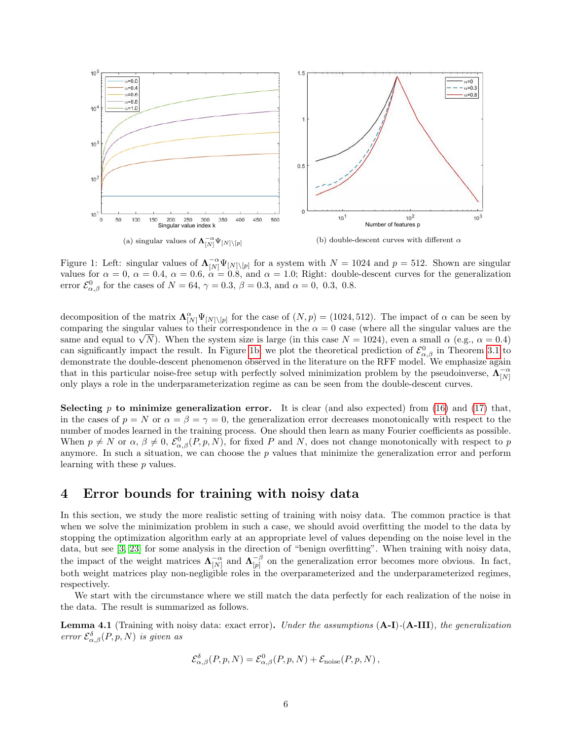<span id="page-5-1"></span>

<span id="page-5-2"></span>Figure 1: Left: singular values of  $\Lambda_{[N]}^{-\alpha} \Psi_{[N]\setminus [p]}$  for a system with  $N = 1024$  and  $p = 512$ . Shown are singular values for  $\alpha = 0$ ,  $\alpha = 0.4$ ,  $\alpha = 0.6$ ,  $\alpha = 0.8$ , and  $\alpha = 1.0$ ; Right: double-descent curves for the generalization error  $\mathcal{E}^0_{\alpha,\beta}$  for the cases of  $N = 64$ ,  $\gamma = 0.3$ ,  $\beta = 0.3$ , and  $\alpha = 0$ , 0.3, 0.8.

decomposition of the matrix  $\Lambda_{[N]}^{\alpha} \Psi_{[N]\setminus [p]}$  for the case of  $(N, p) = (1024, 512)$ . The impact of  $\alpha$  can be seen by comparing the singular values to their correspondence in the  $\alpha = 0$  case (where all the singular values are the comparing the singular values to their correspondence in the  $\alpha = 0$  case (where all the singular values are the same and equal to  $\sqrt{N}$ ). When the system size is large (in this case  $N = 1024$ ), even a small  $\alpha$  (e.g., can significantly impact the result. In Figure [1b,](#page-5-2) we plot the theoretical prediction of  $\mathcal{E}^0_{\alpha,\beta}$  in Theorem [3.1](#page-3-3) to demonstrate the double-descent phenomenon observed in the literature on the RFF model. We emphasize again that in this particular noise-free setup with perfectly solved minimization problem by the pseudoinverse,  $\Lambda_{[N]}^{-\alpha}$ only plays a role in the underparameterization regime as can be seen from the double-descent curves.

Selecting p to minimize generalization error. It is clear (and also expected) from [\(16\)](#page-4-1) and [\(17\)](#page-4-2) that, in the cases of  $p = N$  or  $\alpha = \beta = \gamma = 0$ , the generalization error decreases monotonically with respect to the number of modes learned in the training process. One should then learn as many Fourier coefficients as possible. When  $p \neq N$  or  $\alpha, \beta \neq 0$ ,  $\mathcal{E}^0_{\alpha,\beta}(P,p,N)$ , for fixed P and N, does not change monotonically with respect to p anymore. In such a situation, we can choose the  $p$  values that minimize the generalization error and perform learning with these p values.

## <span id="page-5-0"></span>4 Error bounds for training with noisy data

In this section, we study the more realistic setting of training with noisy data. The common practice is that when we solve the minimization problem in such a case, we should avoid overfitting the model to the data by stopping the optimization algorithm early at an appropriate level of values depending on the noise level in the data, but see [\[3,](#page-9-7) [23\]](#page-10-11) for some analysis in the direction of "benign overfitting". When training with noisy data, the impact of the weight matrices  $\mathbf{\Lambda}_{[N]}^{-\alpha}$  and  $\mathbf{\Lambda}_{[p]}^{-\beta}$  $\begin{bmatrix} -\rho \\ p \end{bmatrix}$  on the generalization error becomes more obvious. In fact, both weight matrices play non-negligible roles in the overparameterized and the underparameterized regimes, respectively.

We start with the circumstance where we still match the data perfectly for each realization of the noise in the data. The result is summarized as follows.

<span id="page-5-3"></span>**Lemma 4.1** (Training with noisy data: exact error). Under the assumptions  $(A-I)$ - $(A-III)$ , the generalization error  $\mathcal{E}_{\alpha,\beta}^{\delta}(P,p,N)$  is given as

$$
\mathcal{E}_{\alpha,\beta}^{\delta}(P,p,N) = \mathcal{E}_{\alpha,\beta}^{0}(P,p,N) + \mathcal{E}_{\text{noise}}(P,p,N),
$$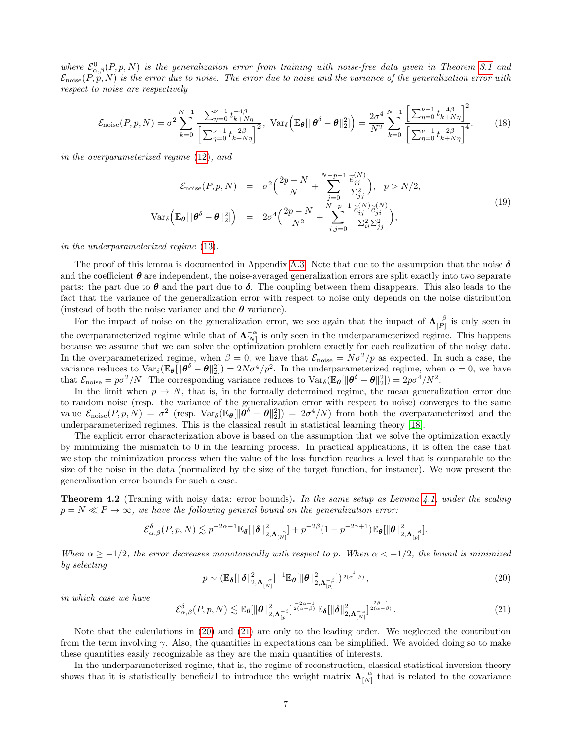where  $\mathcal{E}^0_{\alpha,\beta}(P,p,N)$  is the generalization error from training with noise-free data given in Theorem [3.1](#page-3-3) and  $\mathcal{E}_{\text{noise}}(P, \hat{p}, N)$  is the error due to noise. The error due to noise and the variance of the generalization error with respect to noise are respectively

<span id="page-6-3"></span>
$$
\mathcal{E}_{\text{noise}}(P, p, N) = \sigma^2 \sum_{k=0}^{N-1} \frac{\sum_{\eta=0}^{\nu-1} t_{k+N\eta}^{-4\beta}}{\left[\sum_{\eta=0}^{\nu-1} t_{k+N\eta}^{-2\beta}\right]^2}, \text{ Var}_{\delta}\left(\mathbb{E}_{\theta}[\|\theta^{\delta} - \theta\|_2^2]\right) = \frac{2\sigma^4}{N^2} \sum_{k=0}^{N-1} \frac{\left[\sum_{\eta=0}^{\nu-1} t_{k+N\eta}^{-4\beta}\right]^2}{\left[\sum_{\eta=0}^{\nu-1} t_{k+N\eta}^{-2\beta}\right]^4}.
$$
 (18)

in the overparameterized regime [\(12\)](#page-3-1), and

<span id="page-6-4"></span>
$$
\mathcal{E}_{\text{noise}}(P, p, N) = \sigma^2 \Big( \frac{2p - N}{N} + \sum_{j=0}^{N-p-1} \frac{\tilde{e}_{jj}^{(N)}}{\Sigma_{jj}^2} \Big), \quad p > N/2,
$$
  

$$
\text{Var}_{\delta} \Big( \mathbb{E}_{\theta} [\|\theta^{\delta} - \theta\|_2^2] \Big) = 2\sigma^4 \Big( \frac{2p - N}{N^2} + \sum_{i,j=0}^{N-p-1} \frac{\tilde{e}_{ij}^{(N)} \tilde{e}_{ji}^{(N)}}{\Sigma_{ii}^2 \Sigma_{jj}^2} \Big), \tag{19}
$$

in the underparameterized regime [\(13\)](#page-3-2).

The proof of this lemma is documented in Appendix [A.3.](#page-18-0) Note that due to the assumption that the noise  $\delta$ and the coefficient  $\theta$  are independent, the noise-averaged generalization errors are split exactly into two separate parts: the part due to  $\theta$  and the part due to  $\delta$ . The coupling between them disappears. This also leads to the fact that the variance of the generalization error with respect to noise only depends on the noise distribution (instead of both the noise variance and the  $\theta$  variance).

For the impact of noise on the generalization error, we see again that the impact of  $\Lambda_{\scriptscriptstyle\text{PD}}^{-\beta}$  $\frac{-\beta}{|P|}$  is only seen in the overparameterized regime while that of  $\Lambda_{[N]}^{-\alpha}$  is only seen in the underparameterized regime. This happens because we assume that we can solve the optimization problem exactly for each realization of the noisy data. In the overparameterized regime, when  $\beta = 0$ , we have that  $\mathcal{E}_{\text{noise}} = N\sigma^2/p$  as expected. In such a case, the variance reduces to  $\text{Var}_{\delta}(\mathbb{E}_{\theta}[\|\theta^{\delta} - \theta\|_2^2]) = 2N\sigma^4/p^2$ . In the underparameterized regime, when  $\alpha = 0$ , we have that  $\mathcal{E}_{\text{noise}} = p\sigma^2/N$ . The corresponding variance reduces to  $\text{Var}_{\delta}(\mathbb{E}_{\theta}[\|\theta^{\delta} - \theta\|_2^2]) = 2p\sigma^4/N^2$ .

In the limit when  $p \to N$ , that is, in the formally determined regime, the mean generalization error due to random noise (resp. the variance of the generalization error with respect to noise) converges to the same value  $\mathcal{E}_{\text{noise}}(P, p, N) = \sigma^2$  (resp.  $\text{Var}_{\delta}(\mathbb{E}_{\theta}[\|\theta^{\delta} - \theta\|_2^2]) = 2\sigma^4/N$ ) from both the overparameterized and the underparameterized regimes. This is the classical result in statistical learning theory [\[18\]](#page-9-6).

The explicit error characterization above is based on the assumption that we solve the optimization exactly by minimizing the mismatch to 0 in the learning process. In practical applications, it is often the case that we stop the minimization process when the value of the loss function reaches a level that is comparable to the size of the noise in the data (normalized by the size of the target function, for instance). We now present the generalization error bounds for such a case.

<span id="page-6-2"></span>**Theorem 4.2** (Training with noisy data: error bounds). In the same setup as Lemma  $4.1$ , under the scaling  $p = N \ll P \rightarrow \infty$ , we have the following general bound on the generalization error:

<span id="page-6-0"></span>
$$
\mathcal{E}_{\alpha,\beta}^{\delta}(P,p,N)\lesssim p^{-2\alpha-1}\mathbb{E}_{\pmb\delta}[\|\pmb\delta\|_{2,\pmb\Lambda_{[N]}^{-\alpha}}^2]+p^{-2\beta}(1-p^{-2\gamma+1})\mathbb{E}_{\pmb\theta}[\|\pmb\theta\|_{2,\pmb\Lambda_{[p]}^{-\beta}}^2].
$$

When  $\alpha \ge -1/2$ , the error decreases monotonically with respect to p. When  $\alpha < -1/2$ , the bound is minimized by selecting

$$
p \sim \left(\mathbb{E}_{\boldsymbol{\delta}}[\|\boldsymbol{\delta}\|_{2,\boldsymbol{\Lambda}_{[N]}^{-\alpha}}^2]^{-1} \mathbb{E}_{\boldsymbol{\theta}}[\|\boldsymbol{\theta}\|_{2,\boldsymbol{\Lambda}_{[p]}^{-\beta}}^2]\right)^{\frac{1}{2(\alpha-\beta)}},\tag{20}
$$

in which case we have

<span id="page-6-1"></span>
$$
\mathcal{E}_{\alpha,\beta}^{\delta}(P,p,N) \lesssim \mathbb{E}_{\theta}[\|\theta\|_{2,\Lambda_{[p]}^{-\beta}}^{2}]^{\frac{-2\alpha+1}{2(\alpha-\beta)}} \mathbb{E}_{\delta}[\|\delta\|_{2,\Lambda_{[N]}^{-\alpha}}^{2}]^{\frac{2\beta+1}{2(\alpha-\beta)}}.
$$
\n(21)

Note that the calculations in [\(20\)](#page-6-0) and [\(21\)](#page-6-1) are only to the leading order. We neglected the contribution from the term involving  $\gamma$ . Also, the quantities in expectations can be simplified. We avoided doing so to make these quantities easily recognizable as they are the main quantities of interests.

In the underparameterized regime, that is, the regime of reconstruction, classical statistical inversion theory shows that it is statistically beneficial to introduce the weight matrix  $\Lambda_{[N]}^{-\alpha}$  that is related to the covariance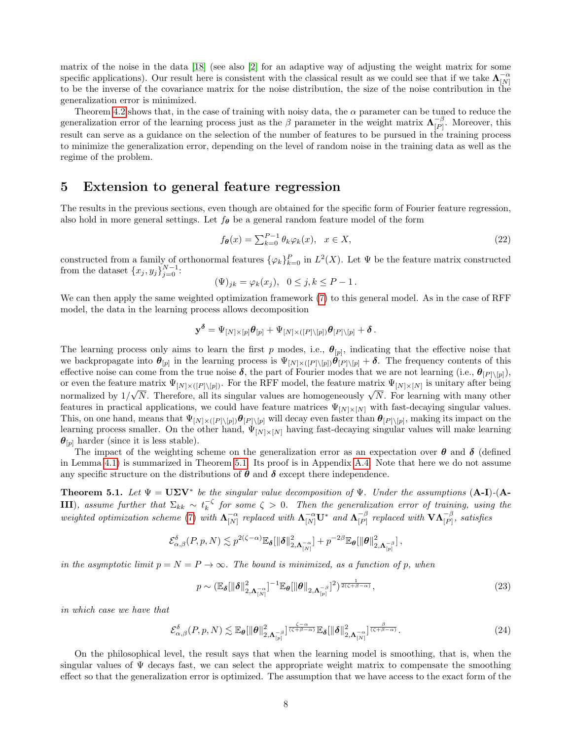matrix of the noise in the data [\[18\]](#page-9-6) (see also [\[2\]](#page-9-8) for an adaptive way of adjusting the weight matrix for some specific applications). Our result here is consistent with the classical result as we could see that if we take  $\Lambda_{[N]}^{-\alpha}$ to be the inverse of the covariance matrix for the noise distribution, the size of the noise contribution in the generalization error is minimized.

Theorem [4.2](#page-6-2) shows that, in the case of training with noisy data, the  $\alpha$  parameter can be tuned to reduce the generalization error of the learning process just as the  $\beta$  parameter in the weight matrix  $\Lambda_{\scriptscriptstyle{PD}}^{-\beta}$  $\frac{-\rho}{|P|}$ . Moreover, this result can serve as a guidance on the selection of the number of features to be pursued in the training process to minimize the generalization error, depending on the level of random noise in the training data as well as the regime of the problem.

### <span id="page-7-0"></span>5 Extension to general feature regression

The results in the previous sections, even though are obtained for the specific form of Fourier feature regression, also hold in more general settings. Let  $f_{\theta}$  be a general random feature model of the form

$$
f_{\theta}(x) = \sum_{k=0}^{P-1} \theta_k \varphi_k(x), \quad x \in X,
$$
\n(22)

constructed from a family of orthonormal features  $\{\varphi_k\}_{k=0}^P$  in  $L^2(X)$ . Let  $\Psi$  be the feature matrix constructed from the dataset  ${x_j, y_j}_{j=0}^{N-1}$ :

$$
(\Psi)_{jk} = \varphi_k(x_j), \quad 0 \le j, k \le P - 1.
$$

We can then apply the same weighted optimization framework [\(7\)](#page-1-2) to this general model. As in the case of RFF model, the data in the learning process allows decomposition

$$
\mathbf{y}^{\boldsymbol{\delta}} = \Psi_{[N] \times [p]} \boldsymbol{\theta}_{[p]} + \Psi_{[N] \times ([P] \setminus [p])} \boldsymbol{\theta}_{[P] \setminus [p]} + \boldsymbol{\delta} \, .
$$

The learning process only aims to learn the first p modes, i.e.,  $\theta_{[p]}$ , indicating that the effective noise that we backpropagate into  $\theta_{[p]}$  in the learning process is  $\Psi_{[N] \times ([P] \setminus [p])} \theta_{[P] \setminus [p]} + \delta$ . The frequency contents of this effective noise can come from the true noise  $\delta$ , the part of Fourier modes that we are not learning (i.e.,  $\theta_{[P]\setminus[p]}$ ), or even the feature matrix  $\Psi_{[N] \times ([P] \setminus [p])}$ . For the RFF model, the feature matrix  $\Psi_{[N] \times [N]}$  is unitary after being or even the leature matrix  $\mathcal{L}_{[N] \times ([P] \setminus [p])}$ . For the Terr model, the leature matrix  $\mathcal{L}_{[N] \times [N]}$  is unitary after being<br>normalized by  $1/\sqrt{N}$ . Therefore, all its singular values are homogeneously  $\sqrt{N}$ . For features in practical applications, we could have feature matrices  $\Psi_{[N] \times [N]}$  with fast-decaying singular values. This, on one hand, means that  $\Psi_{[N]\times([P]\setminus[p]})\theta_{[P]\setminus[p]}$  will decay even faster than  $\theta_{[P]\setminus[p]}$ , making its impact on the learning process smaller. On the other hand,  $\Psi_{[N] \times [N]}$  having fast-decaying singular values will make learning  $\boldsymbol{\theta}_{[p]}$  harder (since it is less stable).

The impact of the weighting scheme on the generalization error as an expectation over  $\theta$  and  $\delta$  (defined in Lemma [4.1\)](#page-5-3) is summarized in Theorem [5.1.](#page-7-1) Its proof is in Appendix [A.4.](#page-21-0) Note that here we do not assume any specific structure on the distributions of  $\theta$  and  $\delta$  except there independence.

<span id="page-7-1"></span>**Theorem 5.1.** Let  $\Psi = U\Sigma V^*$  be the singular value decomposition of  $\Psi$ . Under the assumptions (A-I)-(A-**III**), assume further that  $\Sigma_{kk} \sim t_k^{-\zeta}$  for some  $\zeta > 0$ . Then the generalization error of training, using the weighted optimization scheme [\(7\)](#page-1-2) with  $\Lambda_{[N]}^{-\alpha}$  replaced with  $\Lambda_{[N]}^{-\alpha}U^*$  and  $\Lambda_{[P]}^{-\beta}$  $\mathsf{P}_{\left[ P\right]}^{-\beta}$  replaced with  $\mathbf{VA}_{\left[ P\right]}^{-\beta},$  satisfies

$$
\mathcal{E}_{\alpha,\beta}^{\delta}(P,p,N) \lesssim p^{2(\zeta-\alpha)} \mathbb{E}_{\pmb \delta}[\|\pmb \delta\|_{2,\pmb \Lambda_{[N]}^{-\alpha}}^2] + p^{-2\beta} \mathbb{E}_{\pmb \theta}[\|\pmb \theta\|_{2,\pmb \Lambda_{[p]}^{-\beta}}^2]\,,
$$

in the asymptotic limit  $p = N = P \rightarrow \infty$ . The bound is minimized, as a function of p, when

<span id="page-7-2"></span>
$$
p \sim \left(\mathbb{E}_{\boldsymbol{\delta}}[\|\boldsymbol{\delta}\|_{2,\boldsymbol{\Lambda}_{[N]}^{-\alpha}}^2]^{-1} \mathbb{E}_{\boldsymbol{\theta}}[\|\boldsymbol{\theta}\|_{2,\boldsymbol{\Lambda}_{[p]}^{-\beta}}]^2\right)^{\frac{1}{2(\zeta+\beta-\alpha)}},\tag{23}
$$

in which case we have that

$$
\mathcal{E}_{\alpha,\beta}^{\delta}(P,p,N) \lesssim \mathbb{E}_{\theta}[\|\theta\|_{2,\Lambda_{[p]}^{-\beta}}^{2}]^{\frac{\zeta-\alpha}{(\zeta+\beta-\alpha)}} \mathbb{E}_{\delta}[\|\delta\|_{2,\Lambda_{[N]}^{-\alpha}}^{2}]^{\frac{\beta}{(\zeta+\beta-\alpha)}}.
$$
\n(24)

On the philosophical level, the result says that when the learning model is smoothing, that is, when the singular values of  $\Psi$  decays fast, we can select the appropriate weight matrix to compensate the smoothing effect so that the generalization error is optimized. The assumption that we have access to the exact form of the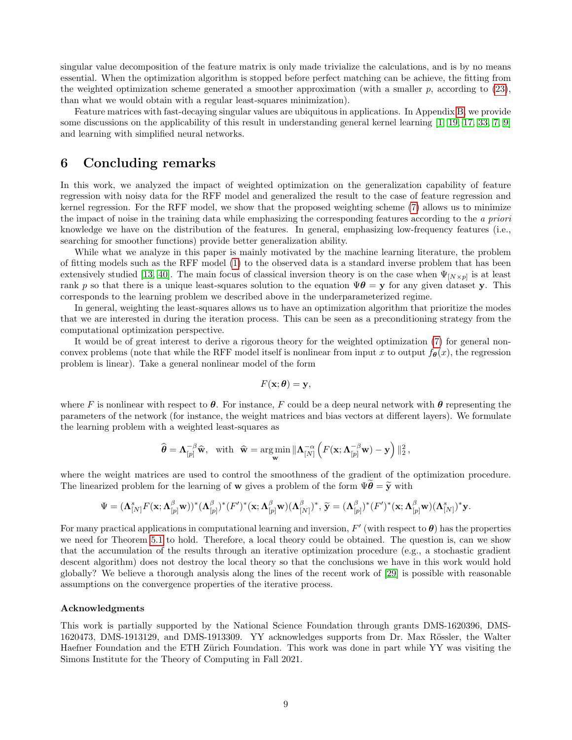singular value decomposition of the feature matrix is only made trivialize the calculations, and is by no means essential. When the optimization algorithm is stopped before perfect matching can be achieve, the fitting from the weighted optimization scheme generated a smoother approximation (with a smaller  $p$ , according to [\(23\)](#page-7-2), than what we would obtain with a regular least-squares minimization).

Feature matrices with fast-decaying singular values are ubiquitous in applications. In Appendix [B,](#page-22-0) we provide some discussions on the applicability of this result in understanding general kernel learning [\[1,](#page-9-9) [19,](#page-9-10) [17,](#page-9-11) [33,](#page-10-12) [7,](#page-9-12) [9\]](#page-9-13) and learning with simplified neural networks.

## 6 Concluding remarks

In this work, we analyzed the impact of weighted optimization on the generalization capability of feature regression with noisy data for the RFF model and generalized the result to the case of feature regression and kernel regression. For the RFF model, we show that the proposed weighting scheme [\(7\)](#page-1-2) allows us to minimize the impact of noise in the training data while emphasizing the corresponding features according to the a priori knowledge we have on the distribution of the features. In general, emphasizing low-frequency features (i.e., searching for smoother functions) provide better generalization ability.

While what we analyze in this paper is mainly motivated by the machine learning literature, the problem of fitting models such as the RFF model [\(1\)](#page-0-0) to the observed data is a standard inverse problem that has been extensively studied [\[13,](#page-9-2) [40\]](#page-11-2). The main focus of classical inversion theory is on the case when  $\Psi_{[N\times p]}$  is at least rank p so that there is a unique least-squares solution to the equation  $\Psi \theta = y$  for any given dataset y. This corresponds to the learning problem we described above in the underparameterized regime.

In general, weighting the least-squares allows us to have an optimization algorithm that prioritize the modes that we are interested in during the iteration process. This can be seen as a preconditioning strategy from the computational optimization perspective.

It would be of great interest to derive a rigorous theory for the weighted optimization [\(7\)](#page-1-2) for general nonconvex problems (note that while the RFF model itself is nonlinear from input x to output  $f_{\theta}(x)$ , the regression problem is linear). Take a general nonlinear model of the form

$$
F(\mathbf{x};\boldsymbol{\theta})=\mathbf{y},
$$

where F is nonlinear with respect to  $\theta$ . For instance, F could be a deep neural network with  $\theta$  representing the parameters of the network (for instance, the weight matrices and bias vectors at different layers). We formulate the learning problem with a weighted least-squares as

$$
\widehat{\boldsymbol{\theta}} = \mathbf{\Lambda}_{[p]}^{-\beta} \widehat{\mathbf{w}}, \text{ with } \widehat{\mathbf{w}} = \underset{\mathbf{w}}{\text{arg min}} \|\mathbf{\Lambda}_{[N]}^{-\alpha} \left( F(\mathbf{x}; \mathbf{\Lambda}_{[p]}^{-\beta} \mathbf{w}) - \mathbf{y} \right)\|_2^2,
$$

where the weight matrices are used to control the smoothness of the gradient of the optimization procedure. The linearized problem for the learning of **w** gives a problem of the form  $\Psi \theta = \tilde{y}$  with

$$
\Psi=(\mathbf{\Lambda}^s_{[N]}F(\mathbf{x};\mathbf{\Lambda}^{\beta}_{[p]}\mathbf{w}))^*(\mathbf{\Lambda}^{\beta}_{[p]})^*(F')^*(\mathbf{x};\mathbf{\Lambda}^{\beta}_{[p]}\mathbf{w})(\mathbf{\Lambda}^{\beta}_{[N]})^*,\,\widetilde{\mathbf{y}}=(\mathbf{\Lambda}^{\beta}_{[p]})^*(F')^*(\mathbf{x};\mathbf{\Lambda}^{\beta}_{[p]}\mathbf{w})(\mathbf{\Lambda}^s_{[N]})^*\mathbf{y}.
$$

For many practical applications in computational learning and inversion,  $F'$  (with respect to  $\theta$ ) has the properties we need for Theorem [5.1](#page-7-1) to hold. Therefore, a local theory could be obtained. The question is, can we show that the accumulation of the results through an iterative optimization procedure (e.g., a stochastic gradient descent algorithm) does not destroy the local theory so that the conclusions we have in this work would hold globally? We believe a thorough analysis along the lines of the recent work of [\[29\]](#page-10-13) is possible with reasonable assumptions on the convergence properties of the iterative process.

#### Acknowledgments

This work is partially supported by the National Science Foundation through grants DMS-1620396, DMS-1620473, DMS-1913129, and DMS-1913309. YY acknowledges supports from Dr. Max Rössler, the Walter Haefner Foundation and the ETH Zürich Foundation. This work was done in part while YY was visiting the Simons Institute for the Theory of Computing in Fall 2021.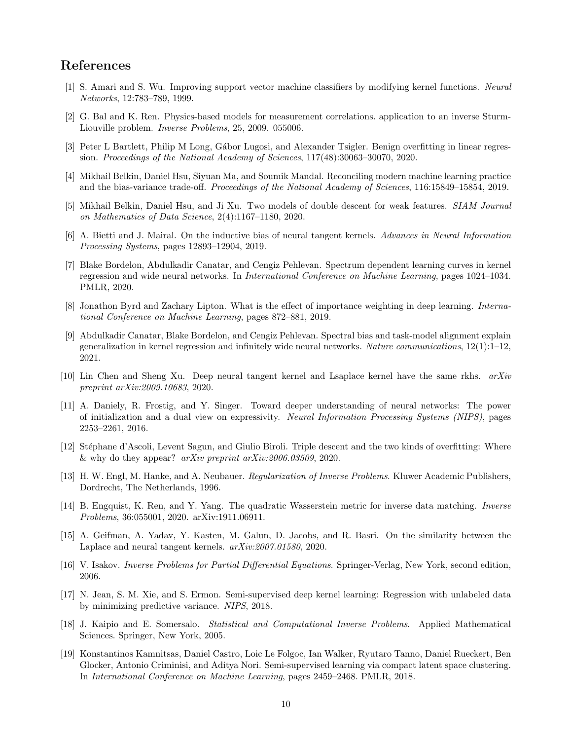# References

- <span id="page-9-9"></span>[1] S. Amari and S. Wu. Improving support vector machine classifiers by modifying kernel functions. Neural Networks, 12:783–789, 1999.
- <span id="page-9-8"></span>[2] G. Bal and K. Ren. Physics-based models for measurement correlations. application to an inverse Sturm-Liouville problem. Inverse Problems, 25, 2009. 055006.
- <span id="page-9-7"></span>[3] Peter L Bartlett, Philip M Long, Gábor Lugosi, and Alexander Tsigler. Benign overfitting in linear regression. Proceedings of the National Academy of Sciences, 117(48):30063–30070, 2020.
- <span id="page-9-3"></span>[4] Mikhail Belkin, Daniel Hsu, Siyuan Ma, and Soumik Mandal. Reconciling modern machine learning practice and the bias-variance trade-off. Proceedings of the National Academy of Sciences, 116:15849–15854, 2019.
- <span id="page-9-1"></span>[5] Mikhail Belkin, Daniel Hsu, and Ji Xu. Two models of double descent for weak features. SIAM Journal on Mathematics of Data Science, 2(4):1167–1180, 2020.
- <span id="page-9-17"></span>[6] A. Bietti and J. Mairal. On the inductive bias of neural tangent kernels. Advances in Neural Information Processing Systems, pages 12893–12904, 2019.
- <span id="page-9-12"></span>[7] Blake Bordelon, Abdulkadir Canatar, and Cengiz Pehlevan. Spectrum dependent learning curves in kernel regression and wide neural networks. In International Conference on Machine Learning, pages 1024–1034. PMLR, 2020.
- <span id="page-9-4"></span>[8] Jonathon Byrd and Zachary Lipton. What is the effect of importance weighting in deep learning. International Conference on Machine Learning, pages 872–881, 2019.
- <span id="page-9-13"></span>[9] Abdulkadir Canatar, Blake Bordelon, and Cengiz Pehlevan. Spectral bias and task-model alignment explain generalization in kernel regression and infinitely wide neural networks. Nature communications, 12(1):1–12, 2021.
- <span id="page-9-16"></span>[10] Lin Chen and Sheng Xu. Deep neural tangent kernel and Lsaplace kernel have the same rkhs.  $arXiv$ preprint arXiv:2009.10683, 2020.
- <span id="page-9-15"></span>[11] A. Daniely, R. Frostig, and Y. Singer. Toward deeper understanding of neural networks: The power of initialization and a dual view on expressivity. Neural Information Processing Systems (NIPS), pages 2253–2261, 2016.
- <span id="page-9-0"></span>[12] Stéphane d'Ascoli, Levent Sagun, and Giulio Biroli. Triple descent and the two kinds of overfitting: Where & why do they appear?  $arXiv$  preprint  $arXiv:2006.03509$ , 2020.
- <span id="page-9-2"></span>[13] H. W. Engl, M. Hanke, and A. Neubauer. Regularization of Inverse Problems. Kluwer Academic Publishers, Dordrecht, The Netherlands, 1996.
- <span id="page-9-5"></span>[14] B. Engquist, K. Ren, and Y. Yang. The quadratic Wasserstein metric for inverse data matching. *Inverse* Problems, 36:055001, 2020. arXiv:1911.06911.
- <span id="page-9-18"></span>[15] A. Geifman, A. Yadav, Y. Kasten, M. Galun, D. Jacobs, and R. Basri. On the similarity between the Laplace and neural tangent kernels.  $arXiv:2007.01580$ , 2020.
- <span id="page-9-14"></span>[16] V. Isakov. *Inverse Problems for Partial Differential Equations*. Springer-Verlag, New York, second edition, 2006.
- <span id="page-9-11"></span>[17] N. Jean, S. M. Xie, and S. Ermon. Semi-supervised deep kernel learning: Regression with unlabeled data by minimizing predictive variance. NIPS, 2018.
- <span id="page-9-6"></span>[18] J. Kaipio and E. Somersalo. Statistical and Computational Inverse Problems. Applied Mathematical Sciences. Springer, New York, 2005.
- <span id="page-9-10"></span>[19] Konstantinos Kamnitsas, Daniel Castro, Loic Le Folgoc, Ian Walker, Ryutaro Tanno, Daniel Rueckert, Ben Glocker, Antonio Criminisi, and Aditya Nori. Semi-supervised learning via compact latent space clustering. In International Conference on Machine Learning, pages 2459–2468. PMLR, 2018.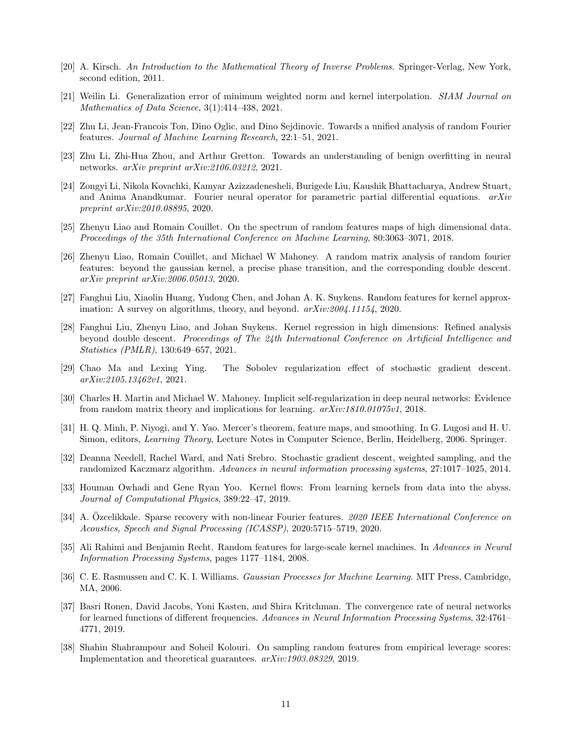- <span id="page-10-14"></span>[20] A. Kirsch. An Introduction to the Mathematical Theory of Inverse Problems. Springer-Verlag, New York, second edition, 2011.
- <span id="page-10-10"></span>[21] Weilin Li. Generalization error of minimum weighted norm and kernel interpolation. SIAM Journal on Mathematics of Data Science, 3(1):414-438, 2021.
- <span id="page-10-8"></span>[22] Zhu Li, Jean-Francois Ton, Dino Oglic, and Dino Sejdinovic. Towards a unified analysis of random Fourier features. Journal of Machine Learning Research, 22:1–51, 2021.
- <span id="page-10-11"></span>[23] Zhu Li, Zhi-Hua Zhou, and Arthur Gretton. Towards an understanding of benign overfitting in neural networks. arXiv preprint arXiv:2106.03212, 2021.
- <span id="page-10-4"></span>[24] Zongyi Li, Nikola Kovachki, Kamyar Azizzadenesheli, Burigede Liu, Kaushik Bhattacharya, Andrew Stuart, and Anima Anandkumar. Fourier neural operator for parametric partial differential equations.  $arXiv$ preprint arXiv:2010.08895, 2020.
- <span id="page-10-2"></span>[25] Zhenyu Liao and Romain Couillet. On the spectrum of random features maps of high dimensional data. Proceedings of the 35th International Conference on Machine Learning, 80:3063–3071, 2018.
- <span id="page-10-1"></span>[26] Zhenyu Liao, Romain Couillet, and Michael W Mahoney. A random matrix analysis of random fourier features: beyond the gaussian kernel, a precise phase transition, and the corresponding double descent. arXiv preprint arXiv:2006.05013, 2020.
- <span id="page-10-6"></span>[27] Fanghui Liu, Xiaolin Huang, Yudong Chen, and Johan A. K. Suykens. Random features for kernel approximation: A survey on algorithms, theory, and beyond.  $arXiv:2004.11154$ , 2020.
- <span id="page-10-7"></span>[28] Fanghui Liu, Zhenyu Liao, and Johan Suykens. Kernel regression in high dimensions: Refined analysis beyond double descent. Proceedings of The 24th International Conference on Artificial Intelligence and Statistics (PMLR), 130:649–657, 2021.
- <span id="page-10-13"></span>[29] Chao Ma and Lexing Ying. The Sobolev regularization effect of stochastic gradient descent. arXiv:2105.13462v1, 2021.
- <span id="page-10-17"></span>[30] Charles H. Martin and Michael W. Mahoney. Implicit self-regularization in deep neural networks: Evidence from random matrix theory and implications for learning. arXiv:1810.01075v1, 2018.
- <span id="page-10-18"></span>[31] H. Q. Minh, P. Niyogi, and Y. Yao. Mercer's theorem, feature maps, and smoothing. In G. Lugosi and H. U. Simon, editors, Learning Theory, Lecture Notes in Computer Science, Berlin, Heidelberg, 2006. Springer.
- <span id="page-10-9"></span>[32] Deanna Needell, Rachel Ward, and Nati Srebro. Stochastic gradient descent, weighted sampling, and the randomized Kaczmarz algorithm. Advances in neural information processing systems, 27:1017–1025, 2014.
- <span id="page-10-12"></span>[33] Houman Owhadi and Gene Ryan Yoo. Kernel flows: From learning kernels from data into the abyss. Journal of Computational Physics, 389:22–47, 2019.
- <span id="page-10-5"></span>[34] A. Ozcelikkale. Sparse recovery with non-linear Fourier features. 2020 IEEE International Conference on Acoustics, Speech and Signal Processing (ICASSP), 2020:5715–5719, 2020.
- <span id="page-10-0"></span>[35] Ali Rahimi and Benjamin Recht. Random features for large-scale kernel machines. In Advances in Neural Information Processing Systems, pages 1177–1184, 2008.
- <span id="page-10-15"></span>[36] C. E. Rasmussen and C. K. I. Williams. Gaussian Processes for Machine Learning. MIT Press, Cambridge, MA, 2006.
- <span id="page-10-16"></span>[37] Basri Ronen, David Jacobs, Yoni Kasten, and Shira Kritchman. The convergence rate of neural networks for learned functions of different frequencies. Advances in Neural Information Processing Systems, 32:4761– 4771, 2019.
- <span id="page-10-3"></span>[38] Shahin Shahrampour and Soheil Kolouri. On sampling random features from empirical leverage scores: Implementation and theoretical guarantees. arXiv:1903.08329, 2019.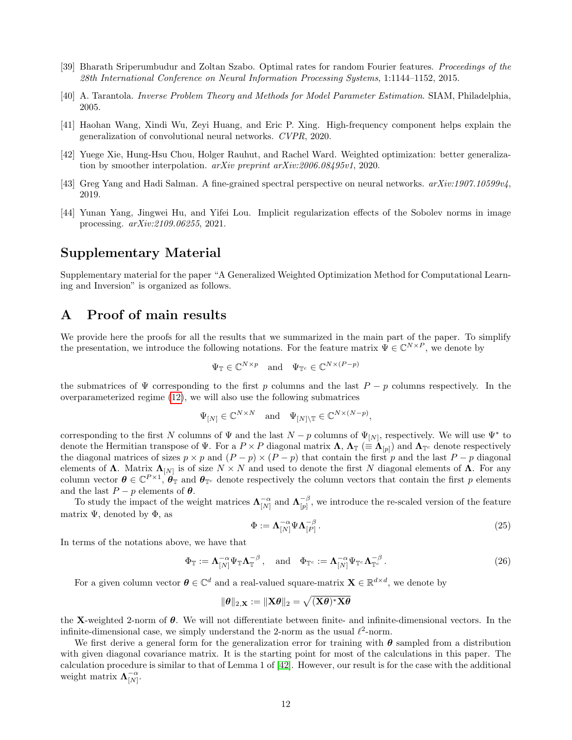- <span id="page-11-1"></span>[39] Bharath Sriperumbudur and Zoltan Szabo. Optimal rates for random Fourier features. Proceedings of the 28th International Conference on Neural Information Processing Systems, 1:1144–1152, 2015.
- <span id="page-11-2"></span>[40] A. Tarantola. Inverse Problem Theory and Methods for Model Parameter Estimation. SIAM, Philadelphia, 2005.
- <span id="page-11-5"></span>[41] Haohan Wang, Xindi Wu, Zeyi Huang, and Eric P. Xing. High-frequency component helps explain the generalization of convolutional neural networks. CVPR, 2020.
- <span id="page-11-0"></span>[42] Yuege Xie, Hung-Hsu Chou, Holger Rauhut, and Rachel Ward. Weighted optimization: better generalization by smoother interpolation. arXiv preprint arXiv:2006.08495v1, 2020.
- <span id="page-11-6"></span>[43] Greg Yang and Hadi Salman. A fine-grained spectral perspective on neural networks.  $arXiv:1907.10599v/4$ , 2019.
- <span id="page-11-3"></span>[44] Yunan Yang, Jingwei Hu, and Yifei Lou. Implicit regularization effects of the Sobolev norms in image processing. arXiv:2109.06255, 2021.

# Supplementary Material

Supplementary material for the paper "A Generalized Weighted Optimization Method for Computational Learning and Inversion" is organized as follows.

# A Proof of main results

We provide here the proofs for all the results that we summarized in the main part of the paper. To simplify the presentation, we introduce the following notations. For the feature matrix  $\Psi \in \mathbb{C}^{N \times P}$ , we denote by

$$
\Psi_{\mathbb{T}} \in \mathbb{C}^{N \times p} \quad \text{and} \quad \Psi_{\mathbb{T}^c} \in \mathbb{C}^{N \times (P - p)}
$$

the submatrices of  $\Psi$  corresponding to the first p columns and the last  $P - p$  columns respectively. In the overparameterized regime [\(12\)](#page-3-1), we will also use the following submatrices

$$
\Psi_{[N]} \in \mathbb{C}^{N \times N}
$$
 and  $\Psi_{[N] \setminus \mathbb{T}} \in \mathbb{C}^{N \times (N-p)},$ 

corresponding to the first N columns of  $\Psi$  and the last  $N-p$  columns of  $\Psi_{[N]}$ , respectively. We will use  $\Psi^*$  to denote the Hermitian transpose of  $\Psi$ . For a  $P \times P$  diagonal matrix  $\Lambda$ ,  $\Lambda_{\mathbb{T}} \ (equiv \Lambda_{[p]})$  and  $\Lambda_{\mathbb{T}^c}$  denote respectively the diagonal matrices of sizes  $p \times p$  and  $(P - p) \times (P - p)$  that contain the first p and the last  $P - p$  diagonal elements of  $\Lambda$ . Matrix  $\Lambda_{[N]}$  is of size  $N \times N$  and used to denote the first N diagonal elements of  $\Lambda$ . For any column vector  $\boldsymbol{\theta} \in \mathbb{C}^{P \times 1}$ ,  $\boldsymbol{\theta}_{\mathbb{T}}$  and  $\boldsymbol{\theta}_{\mathbb{T}^c}$  denote respectively the column vectors that contain the first p elements and the last  $P - p$  elements of  $\theta$ .

To study the impact of the weight matrices  $\Lambda_{[N]}^{-\alpha}$  and  $\Lambda_{[p]}^{-\beta}$  $\frac{-\beta}{|p|}$ , we introduce the re-scaled version of the feature matrix  $\Psi$ , denoted by  $\Phi$ , as

<span id="page-11-4"></span>
$$
\Phi := \Lambda_{[N]}^{-\alpha} \Psi \Lambda_{[P]}^{-\beta} \,. \tag{25}
$$

In terms of the notations above, we have that

$$
\Phi_{\mathbb{T}} := \mathbf{\Lambda}_{[N]}^{-\alpha} \Psi_{\mathbb{T}} \mathbf{\Lambda}_{\mathbb{T}}^{-\beta}, \quad \text{and} \quad \Phi_{\mathbb{T}^c} := \mathbf{\Lambda}_{[N]}^{-\alpha} \Psi_{\mathbb{T}^c} \mathbf{\Lambda}_{\mathbb{T}^c}^{-\beta}.
$$
 (26)

For a given column vector  $\boldsymbol{\theta} \in \mathbb{C}^d$  and a real-valued square-matrix  $\mathbf{X} \in \mathbb{R}^{d \times d}$ , we denote by

$$
\|\boldsymbol{\theta}\|_{2,\mathbf{X}}:=\|\mathbf{X}\boldsymbol{\theta}\|_2=\sqrt{(\mathbf{X}\boldsymbol{\theta})^*\mathbf{X}\boldsymbol{\theta}}
$$

the X-weighted 2-norm of  $\theta$ . We will not differentiate between finite- and infinite-dimensional vectors. In the infinite-dimensional case, we simply understand the 2-norm as the usual  $\ell^2$ -norm.

We first derive a general form for the generalization error for training with  $\theta$  sampled from a distribution with given diagonal covariance matrix. It is the starting point for most of the calculations in this paper. The calculation procedure is similar to that of Lemma 1 of [\[42\]](#page-11-0). However, our result is for the case with the additional weight matrix  $\mathbf{\Lambda}_{[N]}^{-\alpha}$ .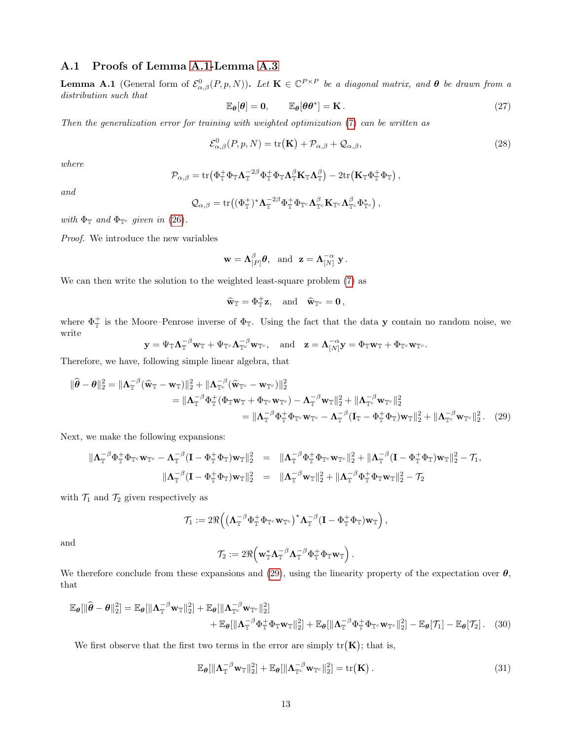### <span id="page-12-0"></span>A.1 Proofs of Lemma [A.1-](#page-12-1)Lemma [A.3](#page-14-0)

<span id="page-12-1"></span>**Lemma A.1** (General form of  $\mathcal{E}^0_{\alpha,\beta}(P,p,N)$ ). Let  $\mathbf{K} \in \mathbb{C}^{P \times P}$  be a diagonal matrix, and  $\boldsymbol{\theta}$  be drawn from a distribution such that

<span id="page-12-6"></span><span id="page-12-3"></span>
$$
\mathbb{E}_{\theta}[\theta] = \mathbf{0}, \qquad \mathbb{E}_{\theta}[\theta \theta^*] = \mathbf{K} \,. \tag{27}
$$

Then the generalization error for training with weighted optimization [\(7\)](#page-1-2) can be written as

$$
\mathcal{E}^{0}_{\alpha,\beta}(P,p,N) = \text{tr}(\mathbf{K}) + \mathcal{P}_{\alpha,\beta} + \mathcal{Q}_{\alpha,\beta},
$$
\n(28)

where

$$
\mathcal{P}_{\alpha,\beta} = \text{tr} \left( \Phi_{\mathbb{T}}^+ \Phi_{\mathbb{T}} \Lambda_{\mathbb{T}}^{-2\beta} \Phi_{\mathbb{T}}^+ \Phi_{\mathbb{T}} \Lambda_{\mathbb{T}}^{\beta} \mathbf{K}_{\mathbb{T}} \Lambda_{\mathbb{T}}^{\beta} \right) - 2 \text{tr} \left( \mathbf{K}_{\mathbb{T}} \Phi_{\mathbb{T}}^+ \Phi_{\mathbb{T}} \right),
$$

and

$$
\mathcal{Q}_{\alpha,\beta} = \text{tr}\big((\Phi_{\mathbb{T}}^{+})^*\Lambda_{\mathbb{T}}^{-2\beta}\Phi_{\mathbb{T}}^{+}\Phi_{\mathbb{T}^c}\Lambda_{\mathbb{T}^c}^{\beta}\mathbf{K}_{\mathbb{T}^c}\Lambda_{\mathbb{T}^c}^{\beta}\Phi_{\mathbb{T}^c}^{*}\big)\,,
$$

with  $\Phi_{\mathbb{T}}$  and  $\Phi_{\mathbb{T}^c}$  given in [\(26\)](#page-11-4).

Proof. We introduce the new variables

$$
\mathbf{w} = \mathbf{\Lambda}_{[P]}^{\beta} \boldsymbol{\theta}, \text{ and } \mathbf{z} = \mathbf{\Lambda}_{[N]}^{-\alpha} \mathbf{y}.
$$

We can then write the solution to the weighted least-square problem [\(7\)](#page-1-2) as

<span id="page-12-2"></span>
$$
\widehat{\mathbf{w}}_{\mathbb{T}} = \Phi_{\mathbb{T}}^+ \mathbf{z}, \text{ and } \widehat{\mathbf{w}}_{\mathbb{T}^c} = \mathbf{0},
$$

where  $\Phi_{\mathbb{T}}^+$  is the Moore–Penrose inverse of  $\Phi_{\mathbb{T}}$ . Using the fact that the data y contain no random noise, we write

$$
\mathbf{y} = \Psi_{\mathbb{T}} \mathbf{\Lambda}_{\mathbb{T}}^{-\beta} \mathbf{w}_{\mathbb{T}} + \Psi_{\mathbb{T}^c} \mathbf{\Lambda}_{\mathbb{T}^c}^{-\beta} \mathbf{w}_{\mathbb{T}^c}, \quad \text{and} \quad \mathbf{z} = \mathbf{\Lambda}_{[N]}^{-\alpha} \mathbf{y} = \Phi_{\mathbb{T}} \mathbf{w}_{\mathbb{T}} + \Phi_{\mathbb{T}^c} \mathbf{w}_{\mathbb{T}^c}.
$$

Therefore, we have, following simple linear algebra, that

$$
\|\widehat{\boldsymbol{\theta}} - \boldsymbol{\theta}\|_{2}^{2} = \|\mathbf{\Lambda}_{\mathbb{T}}^{-\beta}(\widehat{\mathbf{w}}_{\mathbb{T}} - \mathbf{w}_{\mathbb{T}})\|_{2}^{2} + \|\mathbf{\Lambda}_{\mathbb{T}^{c}}^{-\beta}(\widehat{\mathbf{w}}_{\mathbb{T}^{c}} - \mathbf{w}_{\mathbb{T}^{c}})\|_{2}^{2}
$$
  
\n
$$
= \|\mathbf{\Lambda}_{\mathbb{T}}^{-\beta}\Phi_{\mathbb{T}}^{+}(\Phi_{\mathbb{T}}\mathbf{w}_{\mathbb{T}} + \Phi_{\mathbb{T}^{c}}\mathbf{w}_{\mathbb{T}^{c}}) - \mathbf{\Lambda}_{\mathbb{T}}^{-\beta}\mathbf{w}_{\mathbb{T}}\|_{2}^{2} + \|\mathbf{\Lambda}_{\mathbb{T}^{c}}^{-\beta}\mathbf{w}_{\mathbb{T}^{c}}\|_{2}^{2}
$$
  
\n
$$
= \|\mathbf{\Lambda}_{\mathbb{T}}^{-\beta}\Phi_{\mathbb{T}}^{+}\Phi_{\mathbb{T}^{c}}\mathbf{w}_{\mathbb{T}^{c}} - \mathbf{\Lambda}_{\mathbb{T}}^{-\beta}(\mathbf{I}_{\mathbb{T}} - \Phi_{\mathbb{T}}^{+}\Phi_{\mathbb{T}})\mathbf{w}_{\mathbb{T}}\|_{2}^{2} + \|\mathbf{\Lambda}_{\mathbb{T}^{c}}^{-\beta}\mathbf{w}_{\mathbb{T}^{c}}\|_{2}^{2}. \quad (29)
$$

Next, we make the following expansions:

$$
\begin{array}{rcl}\n\|\mathbf{\Lambda}_\mathbb{T}^{-\beta}\Phi_\mathbb{T}^+\Phi_{\mathbb{T}^c}\mathbf{w}_{\mathbb{T}^c}-\mathbf{\Lambda}_\mathbb{T}^{-\beta}(\mathbf{I}-\Phi_\mathbb{T}^+\Phi_\mathbb{T})\mathbf{w}_\mathbb{T}\|_2^2 &=& \|\mathbf{\Lambda}_\mathbb{T}^{-\beta}\Phi_\mathbb{T}^+\Phi_{\mathbb{T}^c}\mathbf{w}_{\mathbb{T}^c}\|_2^2+\|\mathbf{\Lambda}_\mathbb{T}^{-\beta}(\mathbf{I}-\Phi_\mathbb{T}^+\Phi_\mathbb{T})\mathbf{w}_\mathbb{T}\|_2^2-\mathcal{T}_1, \\
& & \|\mathbf{\Lambda}_\mathbb{T}^{-\beta}(\mathbf{I}-\Phi_\mathbb{T}^+\Phi_\mathbb{T})\mathbf{w}_\mathbb{T}\|_2^2 &=& \|\mathbf{\Lambda}_\mathbb{T}^{-\beta}\mathbf{w}_\mathbb{T}\|_2^2+\|\mathbf{\Lambda}_\mathbb{T}^{-\beta}\Phi_\mathbb{T}^+\Phi_\mathbb{T}\mathbf{w}_\mathbb{T}\|_2^2-\mathcal{T}_2\n\end{array}
$$

with  $\mathcal{T}_1$  and  $\mathcal{T}_2$  given respectively as

$$
\mathcal{T}_1:=2\Re\Big(\big(\mathbf{\Lambda}^{-\beta}_\mathbb{T}\Phi_\mathbb{T}^+\Phi_{\mathbb{T}^c}\mathbf{w}_{\mathbb{T}^c}\big)^*\mathbf{\Lambda}^{-\beta}_\mathbb{T}\big(\mathbf{I}-\Phi_\mathbb{T}^+\Phi_\mathbb{T}\big)\mathbf{w}_\mathbb{T}\Big)\,,
$$

and

<span id="page-12-5"></span><span id="page-12-4"></span>
$$
\mathcal{T}_2:=2\Re\Big(\mathbf{w}_\mathbb{T}^*\boldsymbol{\Lambda}_\mathbb{T}^{-\beta}\boldsymbol{\Lambda}_\mathbb{T}^{-\beta}\Phi_\mathbb{T}^+\Phi_\mathbb{T}\mathbf{w}_\mathbb{T}\Big)\,.
$$

We therefore conclude from these expansions and [\(29\)](#page-12-2), using the linearity property of the expectation over  $\theta$ , that

$$
\mathbb{E}_{\theta}[\|\widehat{\theta}-\theta\|_{2}^{2}] = \mathbb{E}_{\theta}[\|\mathbf{\Lambda}_{\mathbb{T}}^{-\beta} \mathbf{w}_{\mathbb{T}}\|_{2}^{2}] + \mathbb{E}_{\theta}[\|\mathbf{\Lambda}_{\mathbb{T}^{c}}^{-\beta} \mathbf{w}_{\mathbb{T}^{c}}\|_{2}^{2}] + \mathbb{E}_{\theta}[\|\mathbf{\Lambda}_{\mathbb{T}}^{-\beta} \Phi_{\mathbb{T}}^{+} \Phi_{\mathbb{T}} \mathbf{w}_{\mathbb{T}}\|_{2}^{2}] + \mathbb{E}_{\theta}[\|\mathbf{\Lambda}_{\mathbb{T}}^{-\beta} \Phi_{\mathbb{T}}^{+} \Phi_{\mathbb{T}^{c}} \mathbf{w}_{\mathbb{T}^{c}}\|_{2}^{2}] - \mathbb{E}_{\theta}[\mathcal{T}_{1}] - \mathbb{E}_{\theta}[\mathcal{T}_{2}].
$$
 (30)

We first observe that the first two terms in the error are simply  $tr(K)$ ; that is,

$$
\mathbb{E}_{\theta}[\|\mathbf{\Lambda}_{\mathbb{T}}^{-\beta}\mathbf{w}_{\mathbb{T}}\|_{2}^{2}] + \mathbb{E}_{\theta}[\|\mathbf{\Lambda}_{\mathbb{T}^{c}}^{-\beta}\mathbf{w}_{\mathbb{T}^{c}}\|_{2}^{2}] = \text{tr}(\mathbf{K}). \qquad (31)
$$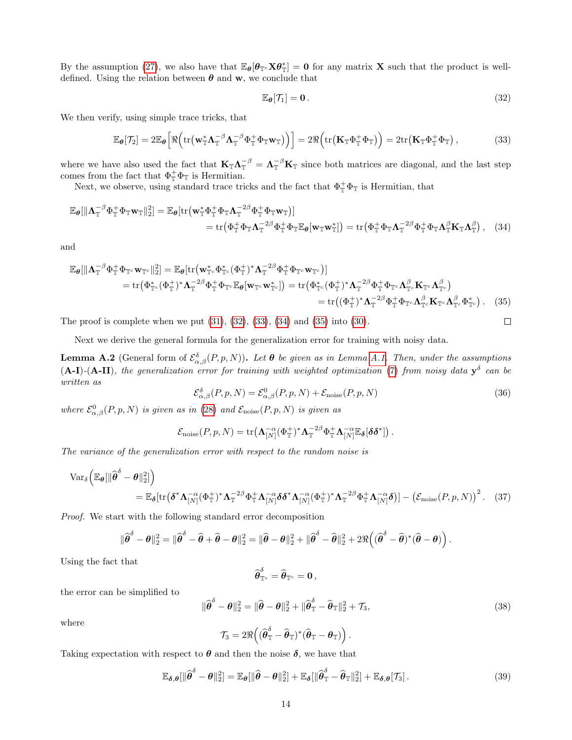By the assumption [\(27\)](#page-12-3), we also have that  $\mathbb{E}_{\theta}[\theta_{\mathbb{T}^c} \mathbf{X} \theta_{\mathbb{T}}^*]=\mathbf{0}$  for any matrix **X** such that the product is welldefined. Using the relation between  $\theta$  and w, we conclude that

<span id="page-13-1"></span><span id="page-13-0"></span>
$$
\mathbb{E}_{\theta}[\mathcal{T}_1] = \mathbf{0} \tag{32}
$$

We then verify, using simple trace tricks, that

$$
\mathbb{E}_{\theta}[\mathcal{T}_2] = 2\mathbb{E}_{\theta}\Big[\Re\Big(\mathrm{tr}\big(\mathbf{w}_\mathbb{T}^*\Lambda_\mathbb{T}^{-\beta}\Lambda_\mathbb{T}^{-\beta}\Phi_\mathbb{T}^+\Phi_\mathbb{T}\mathbf{w}_\mathbb{T}\big)\Big)\Big] = 2\Re\Big(\mathrm{tr}\big(\mathbf{K}_\mathbb{T}\Phi_\mathbb{T}^+\Phi_\mathbb{T}\big)\Big) = 2\mathrm{tr}\big(\mathbf{K}_\mathbb{T}\Phi_\mathbb{T}^+\Phi_\mathbb{T}\big)\,,\tag{33}
$$

where we have also used the fact that  $K_{\mathbb{T}} \Lambda_{\mathbb{T}}^{-\beta} = \Lambda_{\mathbb{T}}^{-\beta} K_{\mathbb{T}}$  since both matrices are diagonal, and the last step comes from the fact that  $\Phi_{\mathbb{T}}^+\Phi_{\mathbb{T}}$  is Hermitian.

Next, we observe, using standard trace tricks and the fact that  $\Phi_{\mathbb{T}}^{\dagger} \Phi_{\mathbb{T}}$  is Hermitian, that

$$
\mathbb{E}_{\theta}[\|\mathbf{\Lambda}_{\mathbb{T}}^{-\beta}\Phi_{\mathbb{T}}^{+}\Phi_{\mathbb{T}}\mathbf{w}_{\mathbb{T}}\|_{2}^{2}] = \mathbb{E}_{\theta}[\text{tr}(\mathbf{w}_{\mathbb{T}}^{*}\Phi_{\mathbb{T}}^{+}\Phi_{\mathbb{T}}\mathbf{\Lambda}_{\mathbb{T}}^{-2\beta}\Phi_{\mathbb{T}}^{+}\Phi_{\mathbb{T}}\mathbf{w}_{\mathbb{T}})] \n= \text{tr}(\Phi_{\mathbb{T}}^{+}\Phi_{\mathbb{T}}\mathbf{\Lambda}_{\mathbb{T}}^{-2\beta}\Phi_{\mathbb{T}}^{+}\Phi_{\mathbb{T}}\mathbf{E}_{\theta}[\mathbf{w}_{\mathbb{T}}\mathbf{w}_{\mathbb{T}}^{*}]) = \text{tr}(\Phi_{\mathbb{T}}^{+}\Phi_{\mathbb{T}}\mathbf{\Lambda}_{\mathbb{T}}^{-2\beta}\Phi_{\mathbb{T}}^{+}\Phi_{\mathbb{T}}\mathbf{\Lambda}_{\mathbb{T}}^{\beta}\mathbf{K}_{\mathbb{T}}\mathbf{\Lambda}_{\mathbb{T}}^{\beta}),
$$
\n(34)

and

$$
\mathbb{E}_{\theta}[\|\mathbf{\Lambda}_{\mathbb{T}}^{-\beta}\Phi_{\mathbb{T}}^{+}\Phi_{\mathbb{T}^{c}}\mathbf{w}_{\mathbb{T}^{c}}\|_{2}^{2}] = \mathbb{E}_{\theta}[\text{tr}(\mathbf{w}_{\mathbb{T}^{c}}^{*}\Phi_{\mathbb{T}^{c}}^{*}(\Phi_{\mathbb{T}}^{+})^{*}\mathbf{\Lambda}_{\mathbb{T}}^{-2\beta}\Phi_{\mathbb{T}}^{+}\Phi_{\mathbb{T}^{c}}\mathbf{w}_{\mathbb{T}^{c}})]
$$
\n
$$
= \text{tr}(\Phi_{\mathbb{T}^{c}}^{*}(\Phi_{\mathbb{T}}^{+})^{*}\mathbf{\Lambda}_{\mathbb{T}}^{-2\beta}\Phi_{\mathbb{T}}^{+}\Phi_{\mathbb{T}^{c}}\mathbb{E}_{\theta}[\mathbf{w}_{\mathbb{T}^{c}}\mathbf{w}_{\mathbb{T}^{c}}^{*}]) = \text{tr}(\Phi_{\mathbb{T}^{c}}^{*}(\Phi_{\mathbb{T}}^{+})^{*}\mathbf{\Lambda}_{\mathbb{T}}^{-2\beta}\Phi_{\mathbb{T}}^{+}\Phi_{\mathbb{T}^{c}}\mathbf{\Lambda}_{\mathbb{T}^{c}}^{\beta}\mathbf{K}_{\mathbb{T}^{c}}\mathbf{\Lambda}_{\mathbb{T}^{c}}^{\beta})
$$
\n
$$
= \text{tr}((\Phi_{\mathbb{T}}^{+})^{*}\mathbf{\Lambda}_{\mathbb{T}}^{-2\beta}\Phi_{\mathbb{T}}^{+}\Phi_{\mathbb{T}^{c}}\mathbf{\Lambda}_{\mathbb{T}^{c}}^{\beta}\mathbf{K}_{\mathbb{T}^{c}}\mathbf{\Lambda}_{\mathbb{T}^{c}}^{\beta}\mathbf{K}_{\mathbb{T}^{c}}\mathbf{\Lambda}_{\mathbb{T}^{c}}^{\beta}\Phi_{\mathbb{T}^{c}}^{*}). \quad (35)
$$

The proof is complete when we put  $(31)$ ,  $(32)$ ,  $(33)$ ,  $(34)$  and  $(35)$  into  $(30)$ .

<span id="page-13-8"></span><span id="page-13-3"></span><span id="page-13-2"></span>
$$
\Box
$$

Next we derive the general formula for the generalization error for training with noisy data.

<span id="page-13-7"></span><span id="page-13-6"></span>**Lemma A.2** (General form of  $\mathcal{E}_{\alpha,\beta}^{\delta}(P,p,N)$ ). Let  $\theta$  be given as in Lemma [A.1.](#page-12-1) Then, under the assumptions  $(A-I)$ - $(A-II)$ , the generalization error for training with weighted optimization [\(7\)](#page-1-2) from noisy data  $y^{\delta}$  can be written as

$$
\mathcal{E}_{\alpha,\beta}^{\delta}(P,p,N) = \mathcal{E}_{\alpha,\beta}^{0}(P,p,N) + \mathcal{E}_{\text{noise}}(P,p,N)
$$
\n(36)

where  $\mathcal{E}^0_{\alpha,\beta}(P,p,N)$  is given as in [\(28\)](#page-12-6) and  $\mathcal{E}_{\text{noise}}(P,p,N)$  is given as

$$
\mathcal{E}_{\text{noise}}(P, p, N) = \text{tr}\left(\mathbf{\Lambda}_{[N]}^{-\alpha}(\Phi_{\mathbb{T}}^{+})^{*}\mathbf{\Lambda}_{\mathbb{T}}^{-2\beta}\Phi_{\mathbb{T}}^{+}\mathbf{\Lambda}_{[N]}^{-\alpha}\mathbb{E}_{\delta}[\delta\delta^{*}]\right).
$$

The variance of the generalization error with respect to the random noise is

$$
\operatorname{Var}_{\delta}\left(\mathbb{E}_{\theta}[\|\widehat{\boldsymbol{\theta}}^{\delta} - \boldsymbol{\theta}\|_{2}^{2}]\right) = \mathbb{E}_{\delta}[\operatorname{tr}(\boldsymbol{\delta}^{*}\Lambda_{[N]}^{-\alpha}(\Phi_{\mathbb{T}}^{+})^{*}\Lambda_{\mathbb{T}}^{-2\beta}\Phi_{\mathbb{T}}^{+}\Lambda_{[N]}^{-\alpha}\boldsymbol{\delta}\boldsymbol{\delta}^{*}\Lambda_{[N]}^{-\alpha}(\Phi_{\mathbb{T}}^{+})^{*}\Lambda_{\mathbb{T}}^{-2\beta}\Phi_{\mathbb{T}}^{+}\Lambda_{[N]}^{-\alpha}\boldsymbol{\delta})] - \left(\mathcal{E}_{\text{noise}}(P, p, N)\right)^{2}.
$$
 (37)

Proof. We start with the following standard error decomposition

$$
\|\widehat{\boldsymbol{\theta}}^{\delta}-\boldsymbol{\theta}\|_2^2 = \|\widehat{\boldsymbol{\theta}}^{\delta}-\widehat{\boldsymbol{\theta}}+\widehat{\boldsymbol{\theta}}-\boldsymbol{\theta}\|_2^2 = \|\widehat{\boldsymbol{\theta}}-\boldsymbol{\theta}\|_2^2 + \|\widehat{\boldsymbol{\theta}}^{\delta}-\widehat{\boldsymbol{\theta}}\|_2^2 + 2\Re\left((\widehat{\boldsymbol{\theta}}^{\delta}-\widehat{\boldsymbol{\theta}})^*(\widehat{\boldsymbol{\theta}}-\boldsymbol{\theta})\right).
$$

Using the fact that

<span id="page-13-5"></span>
$$
\widehat{\boldsymbol{\theta}}_{\mathbb{T}^c}^{\delta} = \widehat{\boldsymbol{\theta}}_{\mathbb{T}^c} = \mathbf{0},
$$

the error can be simplified to

<span id="page-13-4"></span>
$$
\|\widehat{\boldsymbol{\theta}}^{\delta} - \boldsymbol{\theta}\|_{2}^{2} = \|\widehat{\boldsymbol{\theta}} - \boldsymbol{\theta}\|_{2}^{2} + \|\widehat{\boldsymbol{\theta}}_{\mathbb{T}}^{\delta} - \widehat{\boldsymbol{\theta}}_{\mathbb{T}}\|_{2}^{2} + \mathcal{T}_{3},
$$
\n(38)

where

$$
\mathcal{T}_3 = 2\Re\Big( (\widehat{\boldsymbol{\theta}}_{\mathbb{T}}^{\delta} - \widehat{\boldsymbol{\theta}}_{\mathbb{T}})^* (\widehat{\boldsymbol{\theta}}_{\mathbb{T}} - \boldsymbol{\theta}_{\mathbb{T}}) \Big).
$$

Taking expectation with respect to  $\theta$  and then the noise  $\delta$ , we have that

$$
\mathbb{E}_{\delta,\theta}[\|\widehat{\boldsymbol{\theta}}^{\delta} - \boldsymbol{\theta}\|_{2}^{2}] = \mathbb{E}_{\boldsymbol{\theta}}[\|\widehat{\boldsymbol{\theta}} - \boldsymbol{\theta}\|_{2}^{2}] + \mathbb{E}_{\delta}[\|\widehat{\boldsymbol{\theta}}_{\mathbb{T}}^{\delta} - \widehat{\boldsymbol{\theta}}_{\mathbb{T}}\|_{2}^{2}] + \mathbb{E}_{\delta,\theta}[\mathcal{T}_{3}].
$$
\n(39)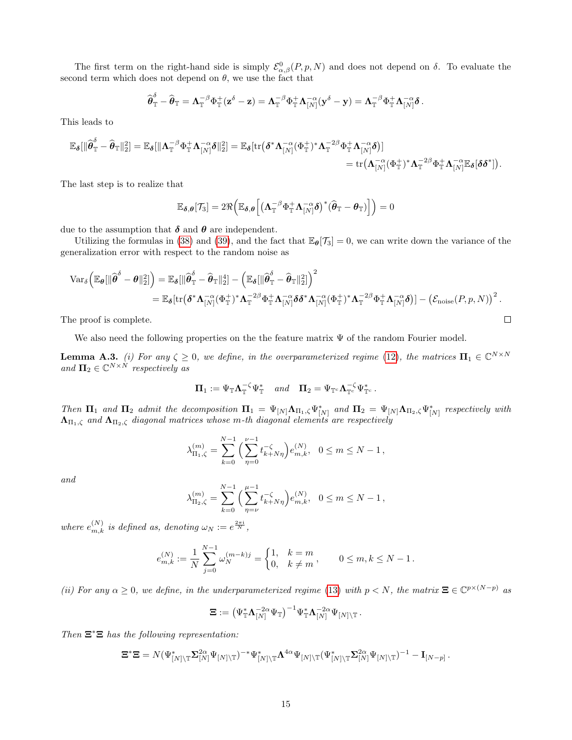The first term on the right-hand side is simply  $\mathcal{E}^0_{\alpha,\beta}(P,p,N)$  and does not depend on  $\delta$ . To evaluate the second term which does not depend on  $\theta$ , we use the fact that

$$
\widehat{\boldsymbol{\theta}}_{\mathbb{T}}^{\delta} - \widehat{\boldsymbol{\theta}}_{\mathbb{T}} = \boldsymbol{\Lambda}_{\mathbb{T}}^{-\beta} \Phi_{\mathbb{T}}^{+} (\mathbf{z}^{\delta} - \mathbf{z}) = \boldsymbol{\Lambda}_{\mathbb{T}}^{-\beta} \Phi_{\mathbb{T}}^{+} \boldsymbol{\Lambda}_{[N]}^{-\alpha} (\mathbf{y}^{\delta} - \mathbf{y}) = \boldsymbol{\Lambda}_{\mathbb{T}}^{-\beta} \Phi_{\mathbb{T}}^{+} \boldsymbol{\Lambda}_{[N]}^{-\alpha} \delta.
$$

This leads to

$$
\mathbb{E}_{\boldsymbol{\delta}}[\|\widehat{\boldsymbol{\theta}}^{\delta}_{\mathbb{T}}-\widehat{\boldsymbol{\theta}}_{\mathbb{T}}\|_2^2] = \mathbb{E}_{\boldsymbol{\delta}}[\|\boldsymbol{\Lambda}_{\mathbb{T}}^{-\beta}\Phi_{\mathbb{T}}^+\boldsymbol{\Lambda}_{[N]}^{-\alpha}\boldsymbol{\delta}\|_2^2] = \mathbb{E}_{\boldsymbol{\delta}}[\text{tr}\big(\boldsymbol{\delta}^*\boldsymbol{\Lambda}_{[N]}^{-\alpha}(\Phi_{\mathbb{T}}^+)^*\boldsymbol{\Lambda}_{\mathbb{T}}^{-2\beta}\Phi_{\mathbb{T}}^+\boldsymbol{\Lambda}_{[N]}^{-\alpha}\boldsymbol{\delta}\big)]\n\n= \text{tr}\big(\boldsymbol{\Lambda}_{[N]}^{-\alpha}(\Phi_{\mathbb{T}}^+)^*\boldsymbol{\Lambda}_{\mathbb{T}}^{-2\beta}\Phi_{\mathbb{T}}^+\boldsymbol{\Lambda}_{[N]}^{-\alpha}\mathbb{E}_{\boldsymbol{\delta}}[\boldsymbol{\delta}\boldsymbol{\delta}^*]\big).
$$

The last step is to realize that

$$
\mathbb{E}_{\boldsymbol{\delta},\boldsymbol{\theta}}[\mathcal{T}_3] = 2 \Re \Big( \mathbb{E}_{\boldsymbol{\delta},\boldsymbol{\theta}} \Big[ \big( \boldsymbol{\Lambda}_\mathbb{T}^{-\beta} \Phi_\mathbb{T}^+ \boldsymbol{\Lambda}_{[N]}^{-\alpha} \boldsymbol{\delta} \big)^* ( \widehat{\boldsymbol{\theta}}_\mathbb{T} - \boldsymbol{\theta}_\mathbb{T} ) \Big] \Big) = 0
$$

due to the assumption that  $\delta$  and  $\theta$  are independent.

Utilizing the formulas in [\(38\)](#page-13-4) and [\(39\)](#page-13-5), and the fact that  $\mathbb{E}_{\theta}[\mathcal{T}_3] = 0$ , we can write down the variance of the generalization error with respect to the random noise as

$$
\begin{aligned} \text{Var}_{\delta}\Big(\mathbb{E}_{\boldsymbol{\theta}}[ \| \widehat{\boldsymbol{\theta}}^{\delta} - \boldsymbol{\theta} \|_2^2] \Big) & = \mathbb{E}_{\boldsymbol{\delta}}[ \| \widehat{\boldsymbol{\theta}}^{\delta}_{\mathbb{T}} - \widehat{\boldsymbol{\theta}}_{\mathbb{T}} \|_2^4] - \left( \mathbb{E}_{\boldsymbol{\delta}}[ \| \widehat{\boldsymbol{\theta}}^{\delta}_{\mathbb{T}} - \widehat{\boldsymbol{\theta}}_{\mathbb{T}} \|_2^2] \right)^2 \\ & = \mathbb{E}_{\boldsymbol{\delta}}[ \text{tr} \big( \boldsymbol{\delta}^* \boldsymbol{\Lambda}_{[N]}^{-\alpha} (\Phi^+_{\mathbb{T}})^* \boldsymbol{\Lambda}_{\mathbb{T}}^{-2\beta} \Phi^+_{\mathbb{T}} \boldsymbol{\Lambda}_{[N]}^{-\alpha} \delta \delta^* \boldsymbol{\Lambda}_{[N]}^{-\alpha} (\Phi^+_{\mathbb{T}})^* \boldsymbol{\Lambda}_{\mathbb{T}}^{-2\beta} \Phi^+_{\mathbb{T}} \boldsymbol{\Lambda}_{[N]}^{-\alpha} \delta \big)] - \big( \mathcal{E}_{\text{noise}}(P, p, N) \big)^2 \, . \end{aligned}
$$

The proof is complete.

We also need the following properties on the the feature matrix  $\Psi$  of the random Fourier model.

<span id="page-14-0"></span>**Lemma A.3.** (i) For any  $\zeta \geq 0$ , we define, in the overparameterized regime [\(12\)](#page-3-1), the matrices  $\Pi_1 \in \mathbb{C}^{N \times N}$ and  $\Pi_2 \in \mathbb{C}^{N \times N}$  respectively as

$$
\Pi_1 := \Psi_{\mathbb{T}} \Lambda_{\mathbb{T}}^{-\zeta} \Psi_{\mathbb{T}}^* \quad and \quad \Pi_2 = \Psi_{\mathbb{T}^c} \Lambda_{\mathbb{T}^c}^{-\zeta} \Psi_{\mathbb{T}^c}^*.
$$

Then  $\Pi_1$  and  $\Pi_2$  admit the decomposition  $\Pi_1 = \Psi_{[N]}\Lambda_{\Pi_1,\zeta}\Psi_{[N]}^*$  and  $\Pi_2 = \Psi_{[N]}\Lambda_{\Pi_2,\zeta}\Psi_{[N]}^*$  respectively with  $\Lambda_{\Pi_1,\zeta}$  and  $\Lambda_{\Pi_2,\zeta}$  diagonal matrices whose m-th diagonal elements are respectively

$$
\lambda_{\Pi_1,\zeta}^{(m)} = \sum_{k=0}^{N-1} \left( \sum_{\eta=0}^{\nu-1} t_{k+N\eta}^{-\zeta} \right) e_{m,k}^{(N)}, \quad 0 \le m \le N-1,
$$

and

$$
\lambda_{\Pi_2,\zeta}^{(m)} = \sum_{k=0}^{N-1} \left( \sum_{\eta=\nu}^{\mu-1} t_{k+N\eta}^{-\zeta} \right) e_{m,k}^{(N)}, \quad 0 \le m \le N-1,
$$

where  $e_{m,k}^{(N)}$  is defined as, denoting  $\omega_N := e^{\frac{2\pi i}{N}}$ ,

$$
e_{m,k}^{(N)}:=\frac{1}{N}\sum_{j=0}^{N-1}\omega_N^{(m-k)j}=\begin{cases} 1, & k=m\\ 0, & k\neq m \end{cases},\qquad 0\leq m,k\leq N-1\,.
$$

(ii) For any  $\alpha \geq 0$ , we define, in the underparameterized regime [\(13\)](#page-3-2) with  $p < N$ , the matrix  $\Xi \in \mathbb{C}^{p \times (N-p)}$  as

$$
\boldsymbol{\Xi} := \big(\Psi_\mathbb{T}^*\boldsymbol{\Lambda}_{[N]}^{-2\alpha}\Psi_\mathbb{T}\big)^{-1}\Psi_\mathbb{T}^*\boldsymbol{\Lambda}_{[N]}^{-2\alpha}\Psi_{[N]\setminus\mathbb{T}}\,.
$$

Then  $\Xi^* \Xi$  has the following representation:

$$
\Xi^*\Xi=N(\Psi_{[N]\backslash\mathbb{T}}^*\Sigma_{[N]}^{2\alpha}\Psi_{[N]\backslash\mathbb{T}})^{-*}\Psi_{[N]\backslash\mathbb{T}}^*\Lambda^{4\alpha}\Psi_{[N]\backslash\mathbb{T}}(\Psi_{[N]\backslash\mathbb{T}}^*\Sigma_{[N]}^{2\alpha}\Psi_{[N]\backslash\mathbb{T}})^{-1}-\mathbf{I}_{[N-p]}
$$

.

 $\Box$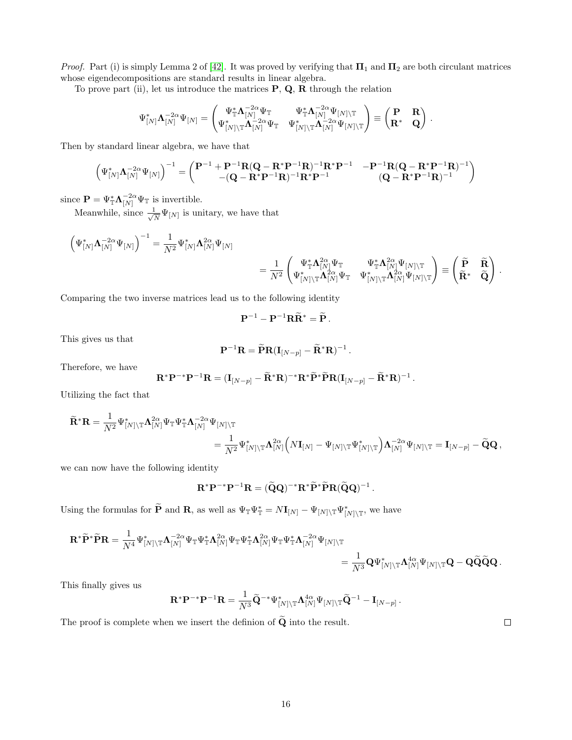*Proof.* Part (i) is simply Lemma 2 of [\[42\]](#page-11-0). It was proved by verifying that  $\Pi_1$  and  $\Pi_2$  are both circulant matrices whose eigendecompositions are standard results in linear algebra.

To prove part (ii), let us introduce the matrices  $P$ ,  $Q$ ,  $R$  through the relation

$$
\Psi_{[N]}^*\mathbf{\Lambda}_{[N]}^{-2\alpha}\Psi_{[N]} = \begin{pmatrix} \Psi_\mathbb{T}^*\mathbf{\Lambda}_{[N]}^{-2\alpha}\Psi_\mathbb{T} & \Psi_\mathbb{T}^*\mathbf{\Lambda}_{[N]}^{-2\alpha}\Psi_{[N]\backslash\mathbb{T}} \\ \Psi_{[N]\backslash\mathbb{T}}^*\mathbf{\Lambda}_{[N]}^{-2\alpha}\Psi_\mathbb{T} & \Psi_{[N]\backslash\mathbb{T}}^*\mathbf{\Lambda}_{[N]}^{-2\alpha}\Psi_{[N]\backslash\mathbb{T}} \end{pmatrix} \equiv \begin{pmatrix} \mathbf{P} & \mathbf{R} \\ \mathbf{R}^* & \mathbf{Q} \end{pmatrix} \, .
$$

Then by standard linear algebra, we have that

$$
\begin{pmatrix} \Psi_{[N]}^*\Lambda_{[N]}^{-2\alpha}\Psi_{[N]} \end{pmatrix}^{-1} = \begin{pmatrix} \mathbf{P}^{-1} + \mathbf{P}^{-1}\mathbf{R}(\mathbf{Q} - \mathbf{R}^*\mathbf{P}^{-1}\mathbf{R})^{-1}\mathbf{R}^*\mathbf{P}^{-1} & -\mathbf{P}^{-1}\mathbf{R}(\mathbf{Q} - \mathbf{R}^*\mathbf{P}^{-1}\mathbf{R})^{-1} \\ -(\mathbf{Q} - \mathbf{R}^*\mathbf{P}^{-1}\mathbf{R})^{-1}\mathbf{R}^*\mathbf{P}^{-1} & (\mathbf{Q} - \mathbf{R}^*\mathbf{P}^{-1}\mathbf{R})^{-1} \end{pmatrix}
$$

since  $\mathbf{P} = \Psi_{\mathbb{T}}^* \mathbf{\Lambda}_{[N]}^{-2\alpha} \Psi_{\mathbb{T}}$  is invertible.

Meanwhile, since  $\frac{1}{\sqrt{2}}$  $\frac{1}{\overline{N}}\Psi_{[N]}$  is unitary, we have that

$$
\begin{aligned} \left( \Psi_{[N]}^*\mathbf{\Lambda}_{[N]}^{-2\alpha}\Psi_{[N]} \right)^{-1} &= \frac{1}{N^2} \Psi_{[N]}^*\mathbf{\Lambda}_{[N]}^{2\alpha}\Psi_{[N]} \\ &= \frac{1}{N^2} \begin{pmatrix} \Psi_{\mathbb{T}}^*\mathbf{\Lambda}_{[N]}^{2\alpha}\Psi_{\mathbb{T}} & \Psi_{\mathbb{T}}^*\mathbf{\Lambda}_{[N]}^{2\alpha}\Psi_{[N]\backslash\mathbb{T}} \\ \Psi_{[N]\backslash\mathbb{T}}^*\mathbf{\Lambda}_{[N]}^{2\alpha}\Psi_{\mathbb{T}} & \Psi_{[N]\backslash\mathbb{T}}^*\mathbf{\Lambda}_{[N]}^{2\alpha}\Psi_{[N]\backslash\mathbb{T}} \end{pmatrix} \equiv \begin{pmatrix} \widetilde{\mathbf{P}} & \widetilde{\mathbf{R}} \\ \widetilde{\mathbf{R}}^* & \widetilde{\mathbf{Q}} \end{pmatrix} \end{aligned}
$$

Comparing the two inverse matrices lead us to the following identity

$$
\mathbf{P}^{-1}-\mathbf{P}^{-1}\mathbf{R}\widetilde{\mathbf{R}}^*=\widetilde{\mathbf{P}}.
$$

This gives us that

$$
\mathbf{P}^{-1}\mathbf{R} = \widetilde{\mathbf{P}}\mathbf{R}(\mathbf{I}_{[N-p]} - \widetilde{\mathbf{R}}^*\mathbf{R})^{-1}.
$$

Therefore, we have

$$
\mathbf{R}^* \mathbf{P}^{-*} \mathbf{P}^{-1} \mathbf{R} = (\mathbf{I}_{[N-p]} - \widetilde{\mathbf{R}}^* \mathbf{R})^{-*} \mathbf{R}^* \widetilde{\mathbf{P}}^* \widetilde{\mathbf{P}} \mathbf{R} (\mathbf{I}_{[N-p]} - \widetilde{\mathbf{R}}^* \mathbf{R})^{-1}
$$

Utilizing the fact that

$$
\begin{aligned} \widetilde{\mathbf{R}}^* \mathbf{R} &= \frac{1}{N^2} \Psi_{[N] \backslash \mathbb{T}}^* \mathbf{\Lambda}_{[N]}^{2\alpha} \Psi_\mathbb{T} \mathbf{\Lambda}_{[N]}^{-2\alpha} \Psi_{[N] \backslash \mathbb{T}} \\ &= \frac{1}{N^2} \Psi_{[N] \backslash \mathbb{T}}^* \mathbf{\Lambda}_{[N]}^{2\alpha} \Big( N \mathbf{I}_{[N]} - \Psi_{[N] \backslash \mathbb{T}} \Psi_{[N] \backslash \mathbb{T}}^* \Big) \mathbf{\Lambda}_{[N]}^{-2\alpha} \Psi_{[N] \backslash \mathbb{T}} = \mathbf{I}_{[N-p]} - \widetilde{\mathbf{Q}} \mathbf{Q} \,, \end{aligned}
$$

we can now have the following identity

$$
\mathbf{R}^* \mathbf{P}^{-*} \mathbf{P}^{-1} \mathbf{R} = (\widetilde{\mathbf{Q}} \mathbf{Q})^{-*} \mathbf{R}^* \widetilde{\mathbf{P}}^* \widetilde{\mathbf{P}} \mathbf{R} (\widetilde{\mathbf{Q}} \mathbf{Q})^{-1}.
$$

Using the formulas for  $\widetilde{\mathbf{P}}$  and  $\mathbf{R}$ , as well as  $\Psi_{\mathbb{T}}\Psi_{\mathbb{T}}^* = N\mathbf{I}_{[N]} - \Psi_{[N]\setminus\mathbb{T}}\Psi_{[N]\setminus\mathbb{T}}^*$ , we have

$$
\begin{aligned} \mathbf{R}^*\widetilde{\mathbf{P}}^*\widetilde{\mathbf{P}}\mathbf{R} &= \frac{1}{N^4}\Psi_{[N]\backslash\mathbb{T}}^*\mathbf{\Lambda}_{[N]}^{-2\alpha}\Psi_{\mathbb{T}}\Psi_{\mathbb{T}}^*\mathbf{\Lambda}_{[N]}^{2\alpha}\Psi_{\mathbb{T}}\Psi_{\mathbb{T}}^*\mathbf{\Lambda}_{[N]}^{2\alpha}\Psi_{\mathbb{T}}\mathbf{\Lambda}_{[N]}^{-2\alpha}\Psi_{[N]\backslash\mathbb{T}} \\ &= \frac{1}{N^3}\mathbf{Q}\Psi_{[N]\backslash\mathbb{T}}^*\mathbf{\Lambda}_{[N]}^{4\alpha}\Psi_{[N]\backslash\mathbb{T}}\mathbf{Q} - \mathbf{Q}\widetilde{\mathbf{Q}}\widetilde{\mathbf{Q}}\mathbf{Q}\,. \end{aligned}
$$

This finally gives us

$$
\mathbf{R}^* \mathbf{P}^{-*} \mathbf{P}^{-1} \mathbf{R} = \frac{1}{N^3} \widetilde{\mathbf{Q}}^{-*} \Psi_{[N] \setminus \mathbb{T}}^* \mathbf{\Lambda}_{[N]}^{4\alpha} \Psi_{[N] \setminus \mathbb{T}} \widetilde{\mathbf{Q}}^{-1} - \mathbf{I}_{[N-p]}.
$$

The proof is complete when we insert the definion of  $\widetilde{Q}$  into the result.

16

 $\Box$ 

.

.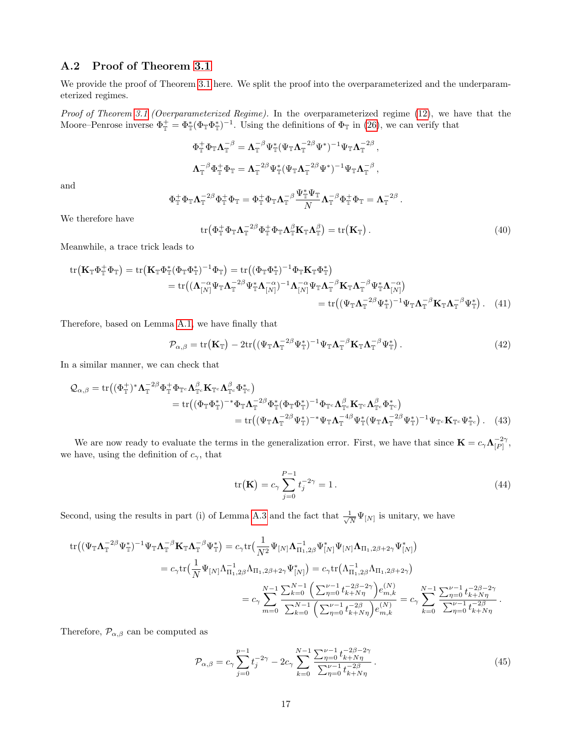### <span id="page-16-0"></span>A.2 Proof of Theorem [3.1](#page-3-3)

We provide the proof of Theorem [3.1](#page-3-3) here. We split the proof into the overparameterized and the underparameterized regimes.

Proof of Theorem [3.1](#page-3-3) (Overparameterized Regime). In the overparameterized regime [\(12\)](#page-3-1), we have that the Moore–Penrose inverse  $\Phi_{\mathbb{T}}^+ = \Phi_{\mathbb{T}}^*(\Phi_{\mathbb{T}} \Phi_{\mathbb{T}}^*)^{-1}$ . Using the definitions of  $\Phi_{\mathbb{T}}$  in [\(26\)](#page-11-4), we can verify that

$$
\begin{aligned} \Phi_\mathbb{T}^+ \Phi_\mathbb{T} \boldsymbol{\Lambda}_\mathbb{T}^{-\beta} &= \boldsymbol{\Lambda}_\mathbb{T}^{-\beta} \Psi_\mathbb{T}^* (\Psi_\mathbb{T} \boldsymbol{\Lambda}_\mathbb{T}^{-2\beta} \Psi^*)^{-1} \Psi_\mathbb{T} \boldsymbol{\Lambda}_\mathbb{T}^{-2\beta} \,, \\[2mm] \boldsymbol{\Lambda}_\mathbb{T}^{-\beta} \Phi_\mathbb{T}^+ \Phi_\mathbb{T} &= \boldsymbol{\Lambda}_\mathbb{T}^{-2\beta} \Psi_\mathbb{T}^* (\Psi_\mathbb{T} \boldsymbol{\Lambda}_\mathbb{T}^{-2\beta} \Psi^*)^{-1} \Psi_\mathbb{T} \boldsymbol{\Lambda}_\mathbb{T}^{-\beta} \,, \end{aligned}
$$

and

$$
\Phi_\mathbb{T}^+\Phi_\mathbb{T}\Lambda_\mathbb{T}^{-2\beta}\Phi_\mathbb{T}^+\Phi_\mathbb{T}=\Phi_\mathbb{T}^+\Phi_\mathbb{T}\Lambda_\mathbb{T}^{-\beta}\frac{\Psi_\mathbb{T}^*\Psi_\mathbb{T}}{N}\Lambda_\mathbb{T}^{-\beta}\Phi_\mathbb{T}^+\Phi_\mathbb{T}=\Lambda_\mathbb{T}^{-2\beta}
$$

We therefore have

$$
\text{tr}\left(\Phi_{\mathbb{T}}^{+}\Phi_{\mathbb{T}}\Lambda_{\mathbb{T}}^{-2\beta}\Phi_{\mathbb{T}}^{+}\Phi_{\mathbb{T}}\Lambda_{\mathbb{T}}^{\beta}\mathbf{K}_{\mathbb{T}}\Lambda_{\mathbb{T}}^{\beta}\right)=\text{tr}\left(\mathbf{K}_{\mathbb{T}}\right).
$$
\n(40)

.

Meanwhile, a trace trick leads to

tr
$$
\begin{split} tr\left(\mathbf{K}_{\mathbb{T}}\Phi_{\mathbb{T}}^{+}\Phi_{\mathbb{T}}\right) &= tr\left(\mathbf{K}_{\mathbb{T}}\Phi_{\mathbb{T}}^{*}(\Phi_{\mathbb{T}}\Phi_{\mathbb{T}}^{*})^{-1}\Phi_{\mathbb{T}}\right) = tr\left((\Phi_{\mathbb{T}}\Phi_{\mathbb{T}}^{*})^{-1}\Phi_{\mathbb{T}}\mathbf{K}_{\mathbb{T}}\Phi_{\mathbb{T}}^{*}\right) \\ &= tr\left((\mathbf{\Lambda}_{[N]}^{-\alpha}\Psi_{\mathbb{T}}\mathbf{\Lambda}_{\mathbb{T}}^{-2\beta}\Psi_{\mathbb{T}}^{*}\mathbf{\Lambda}_{[N]}^{-\alpha})^{-1}\mathbf{\Lambda}_{[N]}^{-\alpha}\Psi_{\mathbb{T}}\mathbf{\Lambda}_{\mathbb{T}}^{-\beta}\mathbf{K}_{\mathbb{T}}\mathbf{\Lambda}_{\mathbb{T}}^{-\beta}\Psi_{\mathbb{T}}^{*}\mathbf{\Lambda}_{[N]}^{-\alpha}\right) \\ &= tr\left((\Psi_{\mathbb{T}}\mathbf{\Lambda}_{\mathbb{T}}^{-2\beta}\Psi_{\mathbb{T}}^{*})^{-1}\Psi_{\mathbb{T}}\mathbf{\Lambda}_{\mathbb{T}}^{-\beta}\mathbf{K}_{\mathbb{T}}\mathbf{\Lambda}_{\mathbb{T}}^{-\beta}\mathbf{K}_{\mathbb{T}}\mathbf{\Lambda}_{\mathbb{T}}^{-\beta}\Psi_{\mathbb{T}}^{*}\right). \end{split} \tag{41}
$$

Therefore, based on Lemma [A.1,](#page-12-1) we have finally that

$$
\mathcal{P}_{\alpha,\beta} = \text{tr}\left(\mathbf{K}_{\mathbb{T}}\right) - 2\text{tr}\left((\Psi_{\mathbb{T}}\boldsymbol{\Lambda}_{\mathbb{T}}^{-2\beta}\Psi_{\mathbb{T}}^{*})^{-1}\Psi_{\mathbb{T}}\boldsymbol{\Lambda}_{\mathbb{T}}^{-\beta}\mathbf{K}_{\mathbb{T}}\boldsymbol{\Lambda}_{\mathbb{T}}^{-\beta}\Psi_{\mathbb{T}}^{*}\right).
$$
\n(42)

In a similar manner, we can check that

$$
Q_{\alpha,\beta} = \text{tr} \left( (\Phi_{\mathbb{T}}^{+})^* \Lambda_{\mathbb{T}}^{-2\beta} \Phi_{\mathbb{T}}^{+} \Phi_{\mathbb{T}^c} \Lambda_{\mathbb{T}^c}^{\beta} \mathbf{K}_{\mathbb{T}^c} \Lambda_{\mathbb{T}^c}^{\beta} \Phi_{\mathbb{T}^c}^{*} \right) = \text{tr} \left( (\Phi_{\mathbb{T}} \Phi_{\mathbb{T}}^{*})^{-*} \Phi_{\mathbb{T}} \Lambda_{\mathbb{T}}^{-2\beta} \Phi_{\mathbb{T}}^{*} (\Phi_{\mathbb{T}} \Phi_{\mathbb{T}}^{*})^{-1} \Phi_{\mathbb{T}^c} \Lambda_{\mathbb{T}^c}^{\beta} \mathbf{K}_{\mathbb{T}^c} \Lambda_{\mathbb{T}^c}^{\beta} \Phi_{\mathbb{T}^c}^{*} \right) = \text{tr} \left( (\Psi_{\mathbb{T}} \Lambda_{\mathbb{T}}^{-2\beta} \Psi_{\mathbb{T}}^{*})^{-*} \Psi_{\mathbb{T}} \Lambda_{\mathbb{T}}^{-4\beta} \Psi_{\mathbb{T}}^{*} (\Psi_{\mathbb{T}} \Lambda_{\mathbb{T}}^{-2\beta} \Psi_{\mathbb{T}}^{*})^{-1} \Psi_{\mathbb{T}^c} \mathbf{K}_{\mathbb{T}^c} \Psi_{\mathbb{T}^c}^{*} \right).
$$
(43)

We are now ready to evaluate the terms in the generalization error. First, we have that since  $\mathbf{K} = c_{\gamma} \Lambda_{[P]}^{-2\gamma}$  $\frac{-2\gamma}{|P|},$ we have, using the definition of  $c_{\gamma}$ , that

<span id="page-16-1"></span>
$$
\text{tr}(\mathbf{K}) = c_{\gamma} \sum_{j=0}^{P-1} t_j^{-2\gamma} = 1.
$$
 (44)

Second, using the results in part (i) of Lemma [A.3](#page-14-0) and the fact that  $\frac{1}{\sqrt{2}}$  $\frac{1}{N}\Psi_{[N]}$  is unitary, we have

$$
\begin{split} \text{tr}\big( (\Psi_{\mathbb{T}} {\bm \Lambda}_{\mathbb{T}}^{-2\beta} \Psi_{\mathbb{T}}^*)^{-1} \Psi_{\mathbb{T}} {\bm \Lambda}_{\mathbb{T}}^{-\beta} {\bf K}_{\mathbb{T}} {\bm \Lambda}_{\mathbb{T}}^{-\beta} \Psi_{\mathbb{T}}^* \big) & = c_{\gamma} \text{tr} \big( \frac{1}{N^2} \Psi_{[N]} \Lambda_{\Pi_1,2\beta}^{-1} \Psi_{[N]}^* \Psi_{[N]} \Lambda_{\Pi_1,2\beta+2\gamma} \Psi_{[N]}^* \big) \\ & = c_{\gamma} \text{tr} \big( \frac{1}{N} \Psi_{[N]} \Lambda_{\Pi_1,2\beta}^{-1} \Lambda_{\Pi_1,2\beta+2\gamma} \Psi_{[N]}^* \big) = c_{\gamma} \text{tr} \big( \Lambda_{\Pi_1,2\beta}^{-1} \Lambda_{\Pi_1,2\beta+2\gamma} \big) \\ & = c_{\gamma} \sum_{m=0}^{N-1} \frac{\sum_{k=0}^{N-1} \left( \sum_{\eta=0}^{\nu-1} t_{k+N\eta}^{-2\beta-2\gamma} \right) e_{m,k}^{(N)}}{\sum_{\eta=0}^{N-1} \left( \sum_{\eta=0}^{\nu-1} t_{k+N\eta}^{-2\beta} \right) e_{m,k}^{(N)}} = c_{\gamma} \sum_{k=0}^{N-1} \frac{\sum_{\eta=0}^{\nu-1} t_{k+N\eta}^{-2\beta-2\gamma}}{\sum_{\eta=0}^{\nu-1} t_{k+N\eta}^{-2\beta}} \,. \end{split}
$$

Therefore,  $\mathcal{P}_{\alpha,\beta}$  can be computed as

<span id="page-16-2"></span>
$$
\mathcal{P}_{\alpha,\beta} = c_{\gamma} \sum_{j=0}^{p-1} t_j^{-2\gamma} - 2c_{\gamma} \sum_{k=0}^{N-1} \frac{\sum_{\eta=0}^{\nu-1} t_{k+N\eta}^{-2\beta - 2\gamma}}{\sum_{\eta=0}^{\nu-1} t_{k+N\eta}^{-2\beta}}.
$$
\n(45)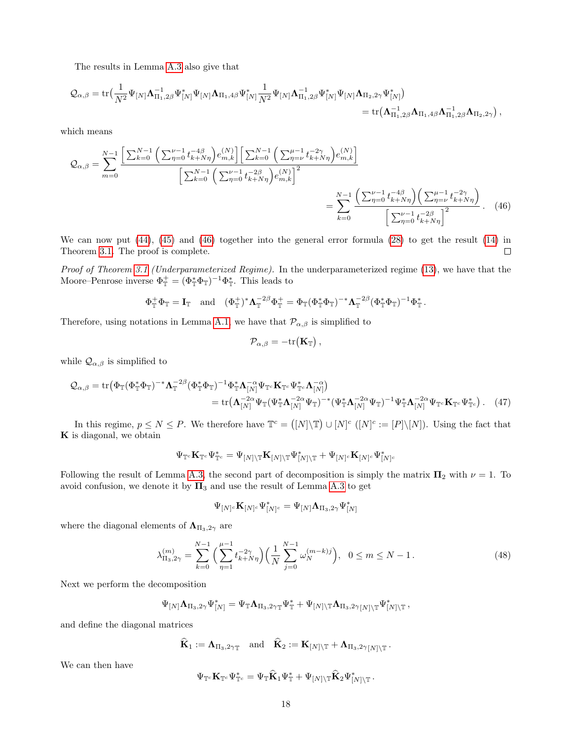The results in Lemma [A.3](#page-14-0) also give that

$$
\begin{aligned} \mathcal{Q}_{\alpha,\beta} = \text{tr}\big(\frac{1}{N^2}\Psi_{[N]}\bm{\Lambda}_{\Pi_1,2\beta}^{-1}\Psi_{[N]}^*\Psi_{[N]}\bm{\Lambda}_{\Pi_1,4\beta}\Psi_{[N]}^*\frac{1}{N^2}\Psi_{[N]}\bm{\Lambda}_{\Pi_1,2\beta}\Psi_{[N]}^*\Psi_{[N]}\bm{\Lambda}_{\Pi_2,2\gamma}\Psi_{[N]}^*\big) \\ = \text{tr}\big(\bm{\Lambda}_{\Pi_1,2\beta}^{-1}\bm{\Lambda}_{\Pi_1,4\beta}\bm{\Lambda}_{\Pi_1,2\beta}^{-1}\bm{\Lambda}_{\Pi_2,2\gamma}\big)\,, \end{aligned}
$$

which means

$$
Q_{\alpha,\beta} = \sum_{m=0}^{N-1} \frac{\left[\sum_{k=0}^{N-1} \left(\sum_{\eta=0}^{\nu-1} t_{k+N\eta}^{-4\beta}\right) e_{m,k}^{(N)}\right] \left[\sum_{k=0}^{N-1} \left(\sum_{\eta=0}^{\mu-1} t_{k+N\eta}^{-2\gamma}\right) e_{m,k}^{(N)}\right]}{\left[\sum_{k=0}^{N-1} \left(\sum_{\eta=0}^{\nu-1} t_{k+N\eta}^{-2\beta}\right) e_{m,k}^{(N)}\right]^2} = \sum_{k=0}^{N-1} \frac{\left(\sum_{\eta=0}^{\nu-1} t_{k+N\eta}^{-4\beta}\right) \left(\sum_{\eta=\nu}^{\mu-1} t_{k+N\eta}^{-2\gamma}\right)}{\left[\sum_{\eta=0}^{\nu-1} t_{k+N\eta}^{-2\beta}\right]^2}.
$$
 (46)

We can now put [\(44\)](#page-16-1), [\(45\)](#page-16-2) and [\(46\)](#page-17-0) together into the general error formula [\(28\)](#page-12-6) to get the result [\(14\)](#page-4-0) in Theorem [3.1.](#page-3-3) The proof is complete.  $\Box$ 

Proof of Theorem [3.1](#page-3-3) (Underparameterized Regime). In the underparameterized regime [\(13\)](#page-3-2), we have that the Moore–Penrose inverse  $\Phi_{\mathbb{T}}^+ = (\Phi_{\mathbb{T}}^* \Phi_{\mathbb{T}})^{-1} \Phi_{\mathbb{T}}^*$ . This leads to

$$
\Phi_{\mathbb{T}}^+ \Phi_{\mathbb{T}} = \mathbf{I}_{\mathbb{T}} \quad \text{and} \quad (\Phi_{\mathbb{T}}^+)^* \Lambda_{\mathbb{T}}^{-2\beta} \Phi_{\mathbb{T}}^+ = \Phi_{\mathbb{T}} (\Phi_{\mathbb{T}}^* \Phi_{\mathbb{T}})^{-*} \Lambda_{\mathbb{T}}^{-2\beta} (\Phi_{\mathbb{T}}^* \Phi_{\mathbb{T}})^{-1} \Phi_{\mathbb{T}}^*.
$$

Therefore, using notations in Lemma [A.1,](#page-12-1) we have that  $\mathcal{P}_{\alpha,\beta}$  is simplified to

<span id="page-17-0"></span>
$$
\mathcal{P}_{\alpha,\beta} = -\mathrm{tr}(\mathbf{K}_{\mathbb{T}}),
$$

while  $\mathcal{Q}_{\alpha,\beta}$  is simplified to

$$
\mathcal{Q}_{\alpha,\beta} = \text{tr}\left(\Phi_{\mathbb{T}}(\Phi_{\mathbb{T}}^*\Phi_{\mathbb{T}})^{-*}\Lambda_{\mathbb{T}}^{-2\beta}(\Phi_{\mathbb{T}}^*\Phi_{\mathbb{T}})^{-1}\Phi_{\mathbb{T}}^*\Lambda_{[N]}^{-\alpha}\Psi_{\mathbb{T}^c}\mathbf{K}_{\mathbb{T}^c}\Psi_{\mathbb{T}^c}\Lambda_{[N]}^{-\alpha}\right) \n= \text{tr}\left(\Lambda_{[N]}^{-2\alpha}\Psi_{\mathbb{T}}(\Psi_{\mathbb{T}}^*\Lambda_{[N]}^{-2\alpha}\Psi_{\mathbb{T}})^{-*}(\Psi_{\mathbb{T}}^*\Lambda_{[N]}^{-2\alpha}\Psi_{\mathbb{T}})^{-1}\Psi_{\mathbb{T}}^*\Lambda_{[N]}^{-2\alpha}\Psi_{\mathbb{T}^c}\mathbf{K}_{\mathbb{T}^c}\Psi_{\mathbb{T}^c}^*\right).
$$
\n(47)

In this regime,  $p \le N \le P$ . We therefore have  $\mathbb{T}^c = ([N] \setminus \mathbb{T}) \cup [N]^c$   $([N]^c := [P] \setminus [N])$ . Using the fact that K is diagonal, we obtain

$$
\Psi_{\mathbb{T}^c}\mathbf{K}_{\mathbb{T}^c}\Psi_{\mathbb{T}^c}^*=\Psi_{[N]\backslash\mathbb{T}}\mathbf{K}_{[N]\backslash\mathbb{T}}\Psi_{[N]\backslash\mathbb{T}}^*+\Psi_{[N]^c}\mathbf{K}_{[N]^c}\Psi_{[N]^c}^*
$$

Following the result of Lemma [A.3,](#page-14-0) the second part of decomposition is simply the matrix  $\Pi_2$  with  $\nu = 1$ . To avoid confusion, we denote it by  $\Pi_3$  and use the result of Lemma [A.3](#page-14-0) to get

<span id="page-17-1"></span>
$$
\Psi_{[N]^c}\mathbf{K}_{[N]^c}\Psi_{[N]^c}^*=\Psi_{[N]}\mathbf{\Lambda}_{\Pi_3,2\gamma}\Psi_{[N]}^*
$$

where the diagonal elements of  $\Lambda_{\Pi_3,2\gamma}$  are

$$
\lambda_{\Pi_3,2\gamma}^{(m)} = \sum_{k=0}^{N-1} \left( \sum_{\eta=1}^{\mu-1} t_{k+N\eta}^{-2\gamma} \right) \left( \frac{1}{N} \sum_{j=0}^{N-1} \omega_N^{(m-k)j} \right), \quad 0 \le m \le N-1.
$$
\n(48)

.

Next we perform the decomposition

$$
\Psi_{[N]}\mathbf{\Lambda}_{\Pi_3,2\gamma}\Psi_{[N]}^*=\Psi_{\mathbb{T}}\mathbf{\Lambda}_{\Pi_3,2\gamma\mathbb{T}}\Psi_{\mathbb{T}}^*+\Psi_{[N]\backslash\mathbb{T}}\mathbf{\Lambda}_{\Pi_3,2\gamma_{[N]\backslash\mathbb{T}}}\Psi_{[N]\backslash\mathbb{T}}^*,
$$

and define the diagonal matrices

$$
\hat{\mathbf{K}}_1 := \boldsymbol{\Lambda}_{\Pi_3,2\gamma_{\mathbb{T}}} \quad \text{and} \quad \hat{\mathbf{K}}_2 := \mathbf{K}_{[N] \setminus \mathbb{T}} + \boldsymbol{\Lambda}_{\Pi_3,2\gamma_{\mathbb{T}}[N] \setminus \mathbb{T}} \,.
$$

We can then have

$$
\Psi_{\mathbb{T}^c}\mathbf{K}_{\mathbb{T}^c}\Psi_{\mathbb{T}^c}^*=\Psi_{\mathbb{T}}\widehat{\mathbf{K}}_1\Psi_{\mathbb{T}}^*+\Psi_{[N]\setminus\mathbb{T}}\widehat{\mathbf{K}}_2\Psi_{[N]\setminus\mathbb{T}}^*
$$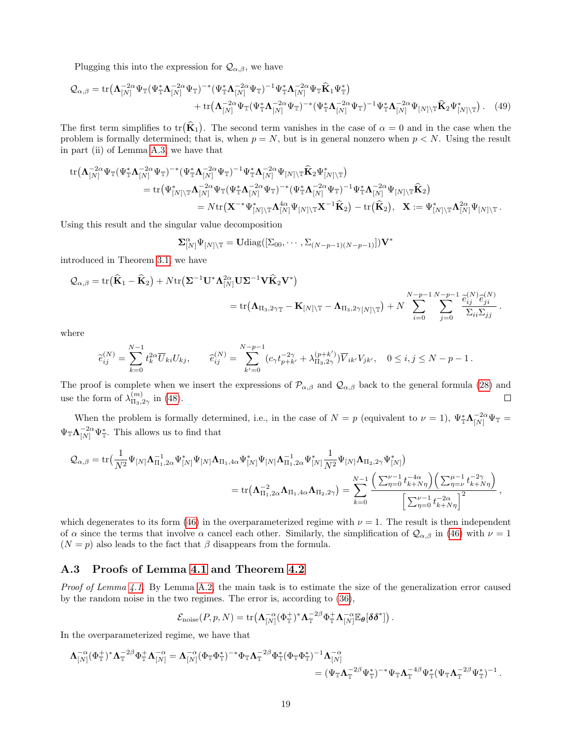Plugging this into the expression for  $\mathcal{Q}_{\alpha,\beta}$ , we have

$$
\mathcal{Q}_{\alpha,\beta} = \text{tr}\big(\mathbf{\Lambda}_{[N]}^{-2\alpha}\Psi_{\mathbb{T}}(\Psi_{\mathbb{T}}^*\mathbf{\Lambda}_{[N]}^{-2\alpha}\Psi_{\mathbb{T}})^{-*}(\Psi_{\mathbb{T}}^*\mathbf{\Lambda}_{[N]}^{-2\alpha}\Psi_{\mathbb{T}})^{-1}\Psi_{\mathbb{T}}^*\mathbf{\Lambda}_{[N]}^{-2\alpha}\Psi_{\mathbb{T}}\hat{\mathbf{K}}_1\Psi_{\mathbb{T}}^*\big) + \text{tr}\big(\mathbf{\Lambda}_{[N]}^{-2\alpha}\Psi_{\mathbb{T}}(\Psi_{\mathbb{T}}^*\mathbf{\Lambda}_{[N]}^{-2\alpha}\Psi_{\mathbb{T}})^{-*}(\Psi_{\mathbb{T}}^*\mathbf{\Lambda}_{[N]}^{-2\alpha}\Psi_{\mathbb{T}})^{-1}\Psi_{\mathbb{T}}^*\mathbf{\Lambda}_{[N]}^{-2\alpha}\Psi_{[N]\backslash\mathbb{T}}\hat{\mathbf{K}}_2\Psi_{[N]\backslash\mathbb{T}}^*\big).
$$
(49)

The first term simplifies to tr $(\hat{\mathbf{K}}_1)$ . The second term vanishes in the case of  $\alpha = 0$  and in the case when the problem is formally determined; that is, when  $p = N$ , but is in general nonzero when  $p \lt N$ . Using the result in part (ii) of Lemma [A.3,](#page-14-0) we have that

$$
\begin{aligned} \text{tr}\big(\mathbf{\Lambda}_{[N]}^{-2\alpha}\Psi_{\mathbb{T}}(\Psi_{\mathbb{T}}^*\mathbf{\Lambda}_{[N]}^{-2\alpha}\Psi_{\mathbb{T}})^{-*}(\Psi_{\mathbb{T}}^*\mathbf{\Lambda}_{[N]}^{-2\alpha}\Psi_{\mathbb{T}})^{-1}\Psi_{\mathbb{T}}^*\mathbf{\Lambda}_{[N]}^{-2\alpha}\Psi_{[N]\backslash\mathbb{T}}\widehat{\mathbf{K}}_2\Psi_{[N]\backslash\mathbb{T}}^*\big)\\ =\text{tr}\big(\Psi_{[N]\backslash\mathbb{T}}^*\mathbf{\Lambda}_{[N]}^{-2\alpha}\Psi_{\mathbb{T}}(\Psi_{\mathbb{T}}^*\mathbf{\Lambda}_{[N]}^{-2\alpha}\Psi_{\mathbb{T}})^{-*}(\Psi_{\mathbb{T}}^*\mathbf{\Lambda}_{[N]}^{-2\alpha}\Psi_{\mathbb{T}})^{-1}\Psi_{\mathbb{T}}^*\mathbf{\Lambda}_{[N]}^{-2\alpha}\Psi_{[N]\backslash\mathbb{T}}\widehat{\mathbf{K}}_2\big)\\ =N\text{tr}\big(\mathbf{X}^{-*}\Psi_{[N]\backslash\mathbb{T}}^*\mathbf{\Lambda}_{[N]}^{4\alpha}\Psi_{[N]\backslash\mathbb{T}}\mathbf{X}^{-1}\widehat{\mathbf{K}}_2\big)-\text{tr}\big(\widehat{\mathbf{K}}_2\big),\ \ \, \mathbf{X}:=\Psi_{[N]\backslash\mathbb{T}}^*\mathbf{\Lambda}_{[N]}^{2\alpha}\Psi_{[N]\backslash\mathbb{T}}\,. \end{aligned}
$$

Using this result and the singular value decomposition

$$
\mathbf{\Sigma}_{[N]}^{\alpha}\Psi_{[N]\setminus\mathbb{T}}=\mathbf{U}\mathrm{diag}([\Sigma_{00},\cdots,\Sigma_{(N-p-1)(N-p-1)}])\mathbf{V}^*
$$

introduced in Theorem [3.1,](#page-3-3) we have

$$
Q_{\alpha,\beta} = \text{tr}(\widehat{\mathbf{K}}_1 - \widehat{\mathbf{K}}_2) + N \text{tr}(\boldsymbol{\Sigma}^{-1} \mathbf{U}^* \boldsymbol{\Lambda}_{[N]}^{2\alpha} \mathbf{U} \boldsymbol{\Sigma}^{-1} \mathbf{V} \widehat{\mathbf{K}}_2 \mathbf{V}^*)
$$
  
= tr( $\mathbf{\Lambda}_{\Pi_3,2\gamma}\mathbf{I} - \mathbf{K}_{[N]\setminus\mathbf{I}} - \mathbf{\Lambda}_{\Pi_3,2\gamma}[N]\setminus\mathbf{I}$ ) + N  $\sum_{i=0}^{N-p-1} \sum_{j=0}^{N-p-1} \frac{\widehat{e}_{ij}^{(N)} \widehat{e}_{ji}^{(N)}}{\sum_{i \in D} \sum_{j \neq i} \sum_{j \neq j} \widehat{e}_{ij}^{(N)} \widehat{e}_{ji}^{(N)}}.$ 

where

$$
\widetilde{e}_{ij}^{(N)} = \sum_{k=0}^{N-1} t_k^{2\alpha} \overline{U}_{ki} U_{kj}, \qquad \widehat{e}_{ij}^{(N)} = \sum_{k'=0}^{N-p-1} (c_{\gamma} t_{p+k'}^{-2\gamma} + \lambda_{\Pi_3,2\gamma}^{(p+k')}) \overline{V}_{ik'} V_{jk'}, \quad 0 \le i,j \le N-p-1.
$$

The proof is complete when we insert the expressions of  $\mathcal{P}_{\alpha,\beta}$  and  $\mathcal{Q}_{\alpha,\beta}$  back to the general formula [\(28\)](#page-12-6) and use the form of  $\lambda_{\Pi_2}^{(m)}$ .  $\frac{1}{\Pi_3,2\gamma}$  in [\(48\)](#page-17-1).  $\Box$ 

When the problem is formally determined, i.e., in the case of  $N = p$  (equivalent to  $\nu = 1$ ),  $\Psi_{\perp}^* \Lambda_{[N]}^{-2\alpha} \Psi_{\perp} =$  $\Psi_{\mathbb{T}} \Lambda_{[N]}^{-2\alpha} \Psi_{\mathbb{T}}^*$ . This allows us to find that

$$
\begin{split} \mathcal{Q}_{\alpha,\beta} = \text{tr}\big(\frac{1}{N^2}\Psi_{[N]}\bm{\Lambda}_{\Pi_1,2\alpha}^{-1}\Psi_{[N]}^*\Psi_{[N]}\bm{\Lambda}_{\Pi_1,4\alpha}\Psi_{[N]}^*\Psi_{[N]}\bm{\Lambda}_{\Pi_1,2\alpha}^{-1}\Psi_{[N]}^*\frac{1}{N^2}\Psi_{[N]}\bm{\Lambda}_{\Pi_2,2\gamma}\Psi_{[N]}^*\big)\\ = \text{tr}\big(\bm{\Lambda}_{\Pi_1,2\alpha}^{-2}\bm{\Lambda}_{\Pi_1,4\alpha}\bm{\Lambda}_{\Pi_2,2\gamma}\big) = \sum_{k=0}^{N-1}\frac{\left(\sum_{\eta=0}^{\nu-1}t_{k+N\eta}^{-4\alpha}\right)\left(\sum_{\eta=\nu}^{\mu-1}t_{k+N\eta}^{-2\gamma}\right)}{\left[\sum_{\eta=0}^{\nu-1}t_{k+N\eta}^{-2\alpha}\right]^2}\,, \end{split}
$$

which degenerates to its form [\(46\)](#page-17-0) in the overparameterized regime with  $\nu = 1$ . The result is then independent of  $\alpha$  since the terms that involve  $\alpha$  cancel each other. Similarly, the simplification of  $\mathcal{Q}_{\alpha,\beta}$  in [\(46\)](#page-17-0) with  $\nu = 1$  $(N = p)$  also leads to the fact that  $\beta$  disappears from the formula.

#### <span id="page-18-0"></span>A.3 Proofs of Lemma [4.1](#page-5-3) and Theorem [4.2](#page-6-2)

*Proof of Lemma [4.1.](#page-5-3)* By Lemma [A.2,](#page-13-6) the main task is to estimate the size of the generalization error caused by the random noise in the two regimes. The error is, according to [\(36\)](#page-13-7),

$$
\mathcal{E}_{\text{noise}}(P, p, N) = \text{tr}\big(\mathbf{\Lambda}_{[N]}^{-\alpha}(\Phi_{\mathbb{T}}^{+})^*\mathbf{\Lambda}_{\mathbb{T}}^{-2\beta}\Phi_{\mathbb{T}}^{+}\mathbf{\Lambda}_{[N]}^{-\alpha}\mathbb{E}_{\theta}[\delta\delta^*]\big).
$$

In the overparameterized regime, we have that

$$
\begin{aligned}\n\boldsymbol{\Lambda}_{[N]}^{-\alpha}(\Phi_\mathbb{T}^+)^*\boldsymbol{\Lambda}_\mathbb{T}^{-2\beta}\Phi_\mathbb{T}^+\boldsymbol{\Lambda}_{[N]}^{-\alpha}&=\boldsymbol{\Lambda}_{[N]}^{-\alpha}(\Phi_\mathbb{T}\Phi_\mathbb{T}^*)^{-*}\Phi_\mathbb{T}\boldsymbol{\Lambda}_\mathbb{T}^{-2\beta}\Phi_\mathbb{T}^*(\Phi_\mathbb{T}\Phi_\mathbb{T}^*)^{-1}\boldsymbol{\Lambda}_{[N]}^{-\alpha}\\
&=(\Psi_\mathbb{T}\boldsymbol{\Lambda}_\mathbb{T}^{-2\beta}\Psi_\mathbb{T}^*)^{-*}\Psi_\mathbb{T}\boldsymbol{\Lambda}_\mathbb{T}^{-4\beta}\Psi_\mathbb{T}^*(\Psi_\mathbb{T}\boldsymbol{\Lambda}_\mathbb{T}^{-2\beta}\Psi_\mathbb{T}^*)^{-1}\,.\n\end{aligned}
$$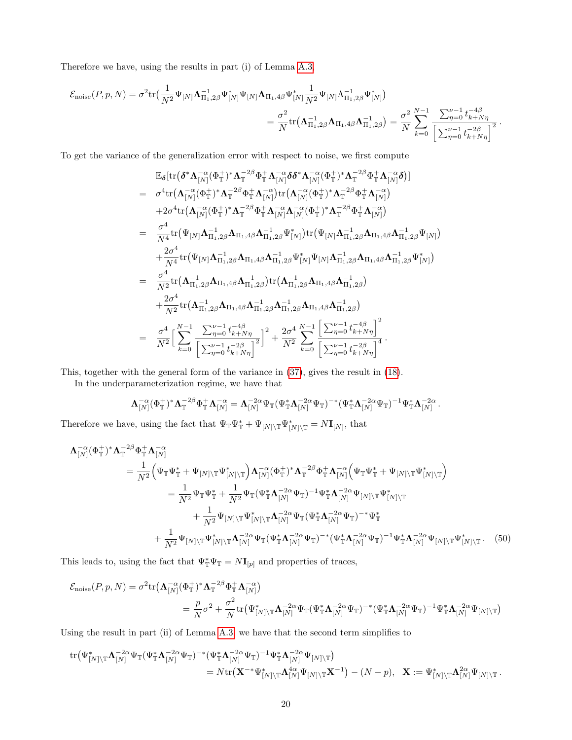Therefore we have, using the results in part (i) of Lemma [A.3,](#page-14-0)

$$
\mathcal{E}_{\text{noise}}(P, p, N) = \sigma^2 \text{tr} \big( \frac{1}{N^2} \Psi_{[N]} \mathbf{\Lambda}_{\Pi_1, 2\beta}^{-1} \Psi_{[N]}^* \Psi_{[N]} \mathbf{\Lambda}_{\Pi_1, 4\beta} \Psi_{[N]}^* \frac{1}{N^2} \Psi_{[N]} \Lambda_{\Pi_1, 2\beta}^{-1} \Psi_{[N]}^* \big)
$$
  

$$
= \frac{\sigma^2}{N} \text{tr} \big( \mathbf{\Lambda}_{\Pi_1, 2\beta}^{-1} \mathbf{\Lambda}_{\Pi_1, 4\beta} \mathbf{\Lambda}_{\Pi_1, 2\beta}^{-1} \big) = \frac{\sigma^2}{N} \sum_{k=0}^{N-1} \frac{\sum_{\eta=0}^{\nu-1} t_{k+N\eta}^{-4\beta}}{\left[ \sum_{\eta=0}^{\nu-1} t_{k+N\eta}^{-2\beta} \right]^2}.
$$

To get the variance of the generalization error with respect to noise, we first compute

$$
\mathbb{E}_{\delta}[\text{tr}(\delta^{*}\Lambda_{[N]}^{-\alpha}(\Phi_{\mathbb{T}}^{+})^{*}\Lambda_{\mathbb{T}}^{-2\beta}\Phi_{\mathbb{T}}^{+}\Lambda_{[N]}^{-\alpha}\delta\delta^{*}\Lambda_{[N]}^{-\alpha}(\Phi_{\mathbb{T}}^{+})^{*}\Lambda_{\mathbb{T}}^{-2\beta}\Phi_{\mathbb{T}}^{+}\Lambda_{[N]}^{-\alpha}\delta)] \n= \sigma^{4}\text{tr}(\Lambda_{[N]}^{-\alpha}(\Phi_{\mathbb{T}}^{+})^{*}\Lambda_{\mathbb{T}}^{-2\beta}\Phi_{\mathbb{T}}^{+}\Lambda_{[N]}^{-\alpha})\text{tr}(\Lambda_{[N]}^{-\alpha}(\Phi_{\mathbb{T}}^{+})^{*}\Lambda_{\mathbb{T}}^{-2\beta}\Phi_{\mathbb{T}}^{+}\Lambda_{[N]}^{-\alpha}) \n+2\sigma^{4}\text{tr}(\Lambda_{[N]}^{-\alpha}(\Phi_{\mathbb{T}}^{+})^{*}\Lambda_{\mathbb{T}}^{-2\beta}\Phi_{\mathbb{T}}^{+}\Lambda_{[N]}^{-\alpha}\Lambda_{[N]}^{-\alpha}(\Phi_{\mathbb{T}}^{+})^{*}\Lambda_{\mathbb{T}}^{-2\beta}\Phi_{\mathbb{T}}^{+}\Lambda_{[N]}^{-\alpha}) \n= \frac{\sigma^{4}}{N^{4}}\text{tr}(\Psi_{[N]}\Lambda_{\Pi_{1,2\beta}}^{-1}\Lambda_{\Pi_{1,4\beta}}\Lambda_{\Pi_{1,2\beta}}^{-1}\Psi_{[N]}^{*})\text{tr}(\Psi_{[N]}\Lambda_{\Pi_{1,2\beta}}^{-1}\Lambda_{\Pi_{1,4\beta}}\Lambda_{\Pi_{1,2\beta}}^{-1}\Psi_{[N]}^{-1}) \n+ \frac{2\sigma^{4}}{N^{4}}\text{tr}(\Psi_{[N]}\Lambda_{\Pi_{1,2\beta}}^{-1}\Lambda_{\Pi_{1,4\beta}}\Lambda_{\Pi_{1,2\beta}}^{-1}\Psi_{[N]}^{*})\text{tr}(\Psi_{[N]}\Lambda_{\Pi_{1,2\beta}}^{-1}\Lambda_{\Pi_{1,4\beta}}\Lambda_{\Pi_{1,2\beta}}^{-1}\Psi_{[N]}^{*}) \n= \frac{\sigma^{4}}{N^{2}}\text{tr}(\Lambda_{\Pi_{1,2\beta}}^{-1}\Lambda_{\Pi_{1,4\beta}}\Lambda_{\Pi_{1,2\beta}}^{-1})\text{tr}(\Lambda_{\Pi_{1,2\beta}}^{-1}\Lambda_{\Pi_{1,4\beta}}\Lambda
$$

This, together with the general form of the variance in [\(37\)](#page-13-8), gives the result in [\(18\)](#page-6-3).

In the underparameterization regime, we have that

<span id="page-19-0"></span>
$$
\Lambda_{[N]}^{-\alpha}(\Phi_{\mathbb{T}}^{+})^{*}\Lambda_{\mathbb{T}}^{-2\beta}\Phi_{\mathbb{T}}^{+}\Lambda_{[N]}^{-\alpha}=\Lambda_{[N]}^{-2\alpha}\Psi_{\mathbb{T}}(\Psi_{\mathbb{T}}^{*}\Lambda_{[N]}^{-2\alpha}\Psi_{\mathbb{T}})^{-*}(\Psi_{\mathbb{T}}^{*}\Lambda_{[N]}^{-2\alpha}\Psi_{\mathbb{T}})^{-1}\Psi_{\mathbb{T}}^{*}\Lambda_{[N]}^{-2\alpha}.
$$

Therefore we have, using the fact that  $\Psi_{\mathbb{T}}\Psi_{\mathbb{T}}^* + \Psi_{[N]\setminus\mathbb{T}}\Psi_{[N]\setminus\mathbb{T}}^* = N\mathbf{I}_{[N]}$ , that

$$
\Lambda_{[N]}^{-\alpha}(\Phi_{\mathbb{T}}^{+})^{*}\Lambda_{\mathbb{T}}^{-2\beta}\Phi_{\mathbb{T}}^{+}\Lambda_{[N]}^{-\alpha} \n= \frac{1}{N^{2}}\Big(\Psi_{\mathbb{T}}\Psi_{\mathbb{T}}^{*} + \Psi_{[N]\backslash\mathbb{T}}\Psi_{[N]\backslash\mathbb{T}}^{*}\Big)\Lambda_{[N]}^{-\alpha}(\Phi_{\mathbb{T}}^{+})^{*}\Lambda_{\mathbb{T}}^{-2\beta}\Phi_{\mathbb{T}}^{+}\Lambda_{[N]}^{-\alpha}\Big(\Psi_{\mathbb{T}}\Psi_{\mathbb{T}}^{*} + \Psi_{[N]\backslash\mathbb{T}}\Psi_{[N]\backslash\mathbb{T}}^{*}\Big) \n= \frac{1}{N^{2}}\Psi_{\mathbb{T}}\Psi_{\mathbb{T}}^{*} + \frac{1}{N^{2}}\Psi_{\mathbb{T}}(\Psi_{\mathbb{T}}^{*}\Lambda_{[N]}^{-2\alpha}\Psi_{\mathbb{T}})^{-1}\Psi_{\mathbb{T}}^{*}\Lambda_{[N]}^{-2\alpha}\Psi_{[N]\backslash\mathbb{T}}\Psi_{[N]\backslash\mathbb{T}}^{*} \n+ \frac{1}{N^{2}}\Psi_{[N]\backslash\mathbb{T}}\Psi_{[N]\backslash\mathbb{T}}^{*}\Lambda_{[N]}^{-2\alpha}\Psi_{\mathbb{T}}(\Psi_{\mathbb{T}}^{*}\Lambda_{[N]}^{-2\alpha}\Psi_{\mathbb{T}})^{-*}\Psi_{\mathbb{T}}^{*} \n+ \frac{1}{N^{2}}\Psi_{[N]\backslash\mathbb{T}}\Psi_{[N]\backslash\mathbb{T}}^{*}\Lambda_{[N]}^{-2\alpha}\Psi_{\mathbb{T}}(\Psi_{\mathbb{T}}^{*}\Lambda_{[N]}^{-2\alpha}\Psi_{\mathbb{T}})^{-*}(\Psi_{\mathbb{T}}^{*}\Lambda_{[N]}^{-2\alpha}\Psi_{\mathbb{T}})^{-1}\Psi_{\mathbb{T}}^{*}\Lambda_{[N]}^{-2\alpha}\Psi_{[N]\backslash\mathbb{T}}\Psi_{[N]\backslash\mathbb{T}}^{*}.
$$
\n(50)

This leads to, using the fact that  $\Psi_{\mathbb{T}}^* \Psi_{\mathbb{T}} = N I_{[p]}$  and properties of traces,

$$
\mathcal{E}_{\text{noise}}(P, p, N) = \sigma^2 \text{tr} \left( \mathbf{\Lambda}_{[N]}^{-\alpha} (\Phi_{\mathbb{T}}^+)^\ast \mathbf{\Lambda}_{\mathbb{T}}^{-2\beta} \Phi_{\mathbb{T}}^+ \mathbf{\Lambda}_{[N]}^{-\alpha} \right)
$$
\n
$$
= \frac{p}{N} \sigma^2 + \frac{\sigma^2}{N} \text{tr} \left( \Psi_{[N] \backslash \mathbb{T}}^* \mathbf{\Lambda}_{[N]}^{-2\alpha} \Psi_{\mathbb{T}} (\Psi_{\mathbb{T}}^* \mathbf{\Lambda}_{[N]}^{-2\alpha} \Psi_{\mathbb{T}})^{-*} (\Psi_{\mathbb{T}}^* \mathbf{\Lambda}_{[N]}^{-2\alpha} \Psi_{\mathbb{T}})^{-1} \Psi_{\mathbb{T}}^* \mathbf{\Lambda}_{[N]}^{-2\alpha} \Psi_{[N] \backslash \mathbb{T}} \right)
$$

Using the result in part (ii) of Lemma [A.3,](#page-14-0) we have that the second term simplifies to

$$
\begin{aligned} \text{tr}\big(\Psi_{[N]\backslash \mathbb{T}}^*\boldsymbol{\Lambda}_{[N]}^{-2\alpha}\Psi_{\mathbb{T}}(\Psi_{\mathbb{T}}^*\boldsymbol{\Lambda}_{[N]}^{-2\alpha}\Psi_{\mathbb{T}})^{-*}(\Psi_{\mathbb{T}}^*\boldsymbol{\Lambda}_{[N]}^{-2\alpha}\Psi_{\mathbb{T}})^{-1}\Psi_{\mathbb{T}}^*\boldsymbol{\Lambda}_{[N]}^{-2\alpha}\Psi_{[N]\backslash \mathbb{T}}\big)\\ =N\text{tr}\big(\mathbf{X}^{-*}\Psi_{[N]\backslash \mathbb{T}}^*\boldsymbol{\Lambda}_{[N]}^{4\alpha}\Psi_{[N]\backslash \mathbb{T}}\mathbf{X}^{-1}\big)-(N-p),\ \ \, \mathbf{X}:=\Psi_{[N]\backslash \mathbb{T}}^*\boldsymbol{\Lambda}_{[N]}^{2\alpha}\Psi_{[N]\backslash \mathbb{T}}\,. \end{aligned}
$$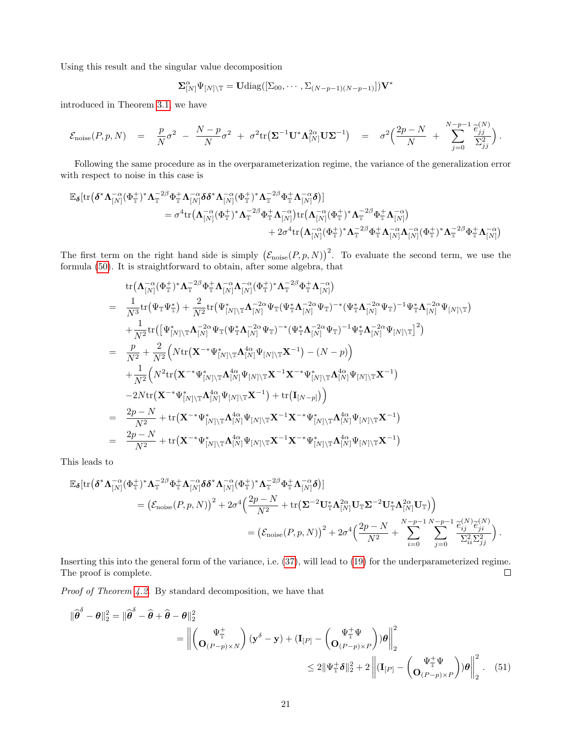Using this result and the singular value decomposition

$$
\Sigma_{[N]}^{\alpha} \Psi_{[N] \setminus \mathbb{T}} = \mathbf{U} \mathrm{diag}([\Sigma_{00}, \cdots, \Sigma_{(N-p-1)(N-p-1)}]) \mathbf{V}^*
$$

introduced in Theorem [3.1,](#page-3-3) we have

$$
\mathcal{E}_{\text{noise}}(P, p, N) = \frac{p}{N}\sigma^2 - \frac{N-p}{N}\sigma^2 + \sigma^2 \text{tr}(\mathbf{\Sigma}^{-1}\mathbf{U}^*\mathbf{\Lambda}_{[N]}^{2\alpha}\mathbf{U}\mathbf{\Sigma}^{-1}) = \sigma^2 \Big(\frac{2p-N}{N} + \sum_{j=0}^{N-p-1} \frac{\tilde{e}_{jj}^{(N)}}{\Sigma_{jj}^2}\Big).
$$

Following the same procedure as in the overparameterization regime, the variance of the generalization error with respect to noise in this case is

$$
\begin{aligned} \mathbb{E}_{\pmb\delta}[\mathrm{tr}\big( \pmb\delta^*\pmb\Lambda_{[N]}^{-\alpha}(\Phi_{\mathbb{T}}^+)^*\pmb\Lambda_{\mathbb{T}}^{-2\beta}\Phi_{\mathbb{T}}^+\pmb\Lambda_{[N]}^{-\alpha}\pmb\delta\pmb\delta^*\pmb\Lambda_{[N]}^{-\alpha}(\Phi_{\mathbb{T}}^+)^*\pmb\Lambda_{\mathbb{T}}^{-2\beta}\Phi_{\mathbb{T}}^+\pmb\Lambda_{[N]}^{-\alpha}\pmb\delta\big)] \\ &\quad = \sigma^4\mathrm{tr}\big(\pmb\Lambda_{[N]}^{-\alpha}(\Phi_{\mathbb{T}}^+)^*\pmb\Lambda_{\mathbb{T}}^{-2\beta}\Phi_{\mathbb{T}}^+\pmb\Lambda_{[N]}^{-\alpha}\big)\mathrm{tr}\big(\pmb\Lambda_{[N]}^{-\alpha}(\Phi_{\mathbb{T}}^+)^*\pmb\Lambda_{\mathbb{T}}^{-2\beta}\Phi_{\mathbb{T}}^+\pmb\Lambda_{[N]}^{-\alpha}\big) \\ &\quad + 2\sigma^4\mathrm{tr}\big(\pmb\Lambda_{[N]}^{-\alpha}(\Phi_{\mathbb{T}}^+)^*\pmb\Lambda_{\mathbb{T}}^{-2\beta}\Phi_{\mathbb{T}}^+\pmb\Lambda_{[N]}^{-\alpha}\pmb\Lambda_{[N]}^{-\alpha}(\Phi_{\mathbb{T}}^+)^*\pmb\Lambda_{\mathbb{T}}^{-2\beta}\Phi_{\mathbb{T}}^+\pmb\Lambda_{[N]}^{-2\beta}\Phi_{\mathbb{T}}^+\pmb\Lambda_{[N]}^{-\alpha}\big) \end{aligned}
$$

The first term on the right hand side is simply  $(\mathcal{E}_{\text{noise}}(P, p, N))^2$ . To evaluate the second term, we use the formula [\(50\)](#page-19-0). It is straightforward to obtain, after some algebra, that

tr
$$
tr(\mathbf{\Lambda}_{[N]}^{-\alpha}(\Phi_{\mathbb{T}}^{+})^{*}\mathbf{\Lambda}_{\mathbb{T}}^{-2\beta}\Phi_{\mathbb{T}}^{+}\mathbf{\Lambda}_{[N]}^{-\alpha}(\Phi_{\mathbb{T}}^{+})^{*}\mathbf{\Lambda}_{\mathbb{T}}^{-2\beta}\Phi_{\mathbb{T}}^{+}\mathbf{\Lambda}_{[N]}^{-\alpha})
$$
\n
$$
= \frac{1}{N^{3}} tr(\Psi_{\mathbb{T}}\Psi_{\mathbb{T}}^{*}) + \frac{2}{N^{2}} tr(\Psi_{[N]\backslash\mathbb{T}}^{*}\mathbf{\Lambda}_{[N]}^{-2\alpha}\Psi_{\mathbb{T}}(\Psi_{\mathbb{T}}^{*}\mathbf{\Lambda}_{[N]}^{-2\alpha}\Psi_{\mathbb{T}})^{-*}(\Psi_{\mathbb{T}}^{*}\mathbf{\Lambda}_{[N]}^{-2\alpha}\Psi_{\mathbb{T}})^{-1}\Psi_{\mathbb{T}}^{*}\mathbf{\Lambda}_{[N]}^{-2\alpha}\Psi_{[N]\backslash\mathbb{T}})
$$
\n
$$
+ \frac{1}{N^{2}} tr([\Psi_{[N]\backslash\mathbb{T}}^{*}\mathbf{\Lambda}_{[N]}^{-2\alpha}\Psi_{\mathbb{T}}(\Psi_{\mathbb{T}}^{*}\mathbf{\Lambda}_{[N]}^{-2\alpha}\Psi_{\mathbb{T}})^{-*}(\Psi_{\mathbb{T}}^{*}\mathbf{\Lambda}_{[N]}^{-2\alpha}\Psi_{\mathbb{T}})^{-1}\Psi_{\mathbb{T}}^{*}\mathbf{\Lambda}_{[N]}^{-2\alpha}\Psi_{[N]\backslash\mathbb{T}}^{2})
$$
\n
$$
= \frac{p}{N^{2}} + \frac{2}{N^{2}} \Big( N tr(\mathbf{X}^{-*}\Psi_{[N]\backslash\mathbb{T}}^{*}\mathbf{\Lambda}_{[N]}^{\alpha}\Psi_{[N]\backslash\mathbb{T}}\mathbf{X}^{-1}) - (N - p) \Big)
$$
\n
$$
+ \frac{1}{N^{2}} \Big( N^{2} tr(\mathbf{X}^{-*}\Psi_{[N]\backslash\mathbb{T}}^{*}\mathbf{\Lambda}_{[N]}^{\alpha}\Psi_{[N]\backslash\mathbb{T}}\mathbf{X}^{-1}\mathbf{X}^{-*}\Psi_{[N]\backslash\mathbb{T}}^{*}\mathbf{\Lambda}_{[N]}^{\alpha}\Psi_{[N]\backslash\mathbb{T}}\mathbf{X}^{-1})
$$
\n
$$
-2 N tr(\mathbf{X}^{-*}\Psi_{[N]\backslash\mathbb{T}}^{*}\mathbf{\Lambda}_{[
$$

This leads to

$$
\mathbb{E}_{\delta}[\text{tr}(\boldsymbol{\delta}^*\boldsymbol{\Lambda}_{[N]}^{-\alpha}(\Phi_{\mathbb{T}}^{+})^*\boldsymbol{\Lambda}_{\mathbb{T}}^{-2\beta}\Phi_{\mathbb{T}}^{+}\boldsymbol{\Lambda}_{[N]}^{-\alpha}\boldsymbol{\delta}\boldsymbol{\delta}^*\boldsymbol{\Lambda}_{[N]}^{-\alpha}(\Phi_{\mathbb{T}}^{+})^*\boldsymbol{\Lambda}_{\mathbb{T}}^{-2\beta}\Phi_{\mathbb{T}}^{+}\boldsymbol{\Lambda}_{[N]}^{-\alpha}\boldsymbol{\delta})]
$$
\n
$$
= \left(\mathcal{E}_{\text{noise}}(P,p,N)\right)^2 + 2\sigma^4 \Big(\frac{2p-N}{N^2} + \text{tr}\big(\boldsymbol{\Sigma}^{-2}\mathbf{U}_{\mathbb{T}}^*\boldsymbol{\Lambda}_{[N]}^{2\alpha}\mathbf{U}_{\mathbb{T}}\boldsymbol{\Sigma}^{-2}\mathbf{U}_{\mathbb{T}}^*\boldsymbol{\Lambda}_{[N]}^{2\alpha}\mathbf{U}_{\mathbb{T}}\big)\Big)
$$
\n
$$
= \left(\mathcal{E}_{\text{noise}}(P,p,N)\right)^2 + 2\sigma^4 \Big(\frac{2p-N}{N^2} + \sum_{i=0}^{N-p-1} \sum_{j=0}^{N-p-1} \frac{\widehat{e}_{ij}^{(N)}\widehat{e}_{ji}^{(N)}}{\sum_{i=0}^{2i} \sum_{j=0}^{2j}}\Big).
$$

Inserting this into the general form of the variance, i.e. [\(37\)](#page-13-8), will lead to [\(19\)](#page-6-4) for the underparameterized regime. The proof is complete.  $\Box$ 

Proof of Theorem [4.2.](#page-6-2) By standard decomposition, we have that

<span id="page-20-0"></span>
$$
\|\widehat{\boldsymbol{\theta}}^{\delta} - \boldsymbol{\theta}\|_{2}^{2} = \|\widehat{\boldsymbol{\theta}}^{\delta} - \widehat{\boldsymbol{\theta}} + \widehat{\boldsymbol{\theta}} - \boldsymbol{\theta}\|_{2}^{2}
$$
\n
$$
= \left\| \begin{pmatrix} \Psi_{\mathbb{T}}^{+} \\ \mathbf{O}_{(P-p)\times N} \end{pmatrix} (\mathbf{y}^{\delta} - \mathbf{y}) + (\mathbf{I}_{[P]} - \begin{pmatrix} \Psi_{\mathbb{T}}^{+} \Psi \\ \mathbf{O}_{(P-p)\times P} \end{pmatrix}) \boldsymbol{\theta} \right\|_{2}^{2}
$$
\n
$$
\leq 2 \|\Psi_{\mathbb{T}}^{+} \boldsymbol{\delta}\|_{2}^{2} + 2 \left\| (\mathbf{I}_{[P]} - \begin{pmatrix} \Psi_{\mathbb{T}}^{+} \Psi \\ \mathbf{O}_{(P-p)\times P} \end{pmatrix}) \boldsymbol{\theta} \right\|_{2}^{2} . \quad (51)
$$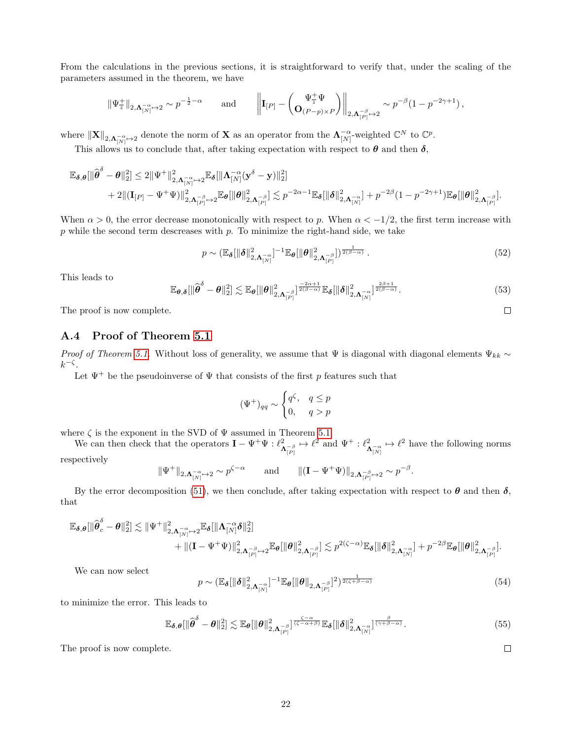From the calculations in the previous sections, it is straightforward to verify that, under the scaling of the parameters assumed in the theorem, we have

$$
\|\Psi^+_\mathbb{T}\|_{2,\mathbf{\Lambda}_{[N]}^{-\alpha}\mapsto2}\sim p^{-\frac{1}{2}-\alpha}\qquad\text{and}\qquad\left\|\mathbf{I}_{[P]}-\left(\mathbf{O}^{\Psi^+_\mathbb{T}\Psi}_{(P-p)\times P}\right)\right\|_{2,\mathbf{\Lambda}_{[P]}^{-\beta}\mapsto2}\sim p^{-\beta}(1-p^{-2\gamma+1})\,,
$$

where  $\|\mathbf{X}\|_{2,\mathbf{\Lambda}_{[N]}^{-\alpha}\mapsto2}$  denote the norm of **X** as an operator from the  $\mathbf{\Lambda}_{[N]}^{-\alpha}$  weighted  $\mathbb{C}^N$  to  $\mathbb{C}^p$ .

This allows us to conclude that, after taking expectation with respect to  $\theta$  and then  $\delta$ ,

$$
\mathbb{E}_{\boldsymbol{\delta},\boldsymbol{\theta}}[\|\widehat{\boldsymbol{\theta}}^{\delta}-\boldsymbol{\theta}\|_2^2] \leq 2\|\Psi^+\|_{2,\boldsymbol{\Lambda}_{[N]}^{-\alpha}\mapsto 2}^2\mathbb{E}_{\boldsymbol{\delta}}[\|\boldsymbol{\Lambda}_{[N]}^{-\alpha}(\mathbf{y}^{\delta}-\mathbf{y})\|_2^2] \\\qquad \qquad + 2\|(\mathbf{I}_{[P]}-\Psi^+\Psi)\|_{2,\boldsymbol{\Lambda}_{[P]}^{-\beta}\mapsto 2}^2\mathbb{E}_{\boldsymbol{\theta}}[\|\boldsymbol{\theta}\|_{2,\boldsymbol{\Lambda}_{[P]}^{-\beta}}^2] \lesssim p^{-2\alpha-1}\mathbb{E}_{\boldsymbol{\delta}}[\|\boldsymbol{\delta}\|_{2,\boldsymbol{\Lambda}_{[N]}^{-\alpha}}^2] + p^{-2\beta}(1-p^{-2\gamma+1})\mathbb{E}_{\boldsymbol{\theta}}[\|\boldsymbol{\theta}\|_{2,\boldsymbol{\Lambda}_{[P]}^{-\beta}}^2].
$$

When  $\alpha > 0$ , the error decrease monotonically with respect to p. When  $\alpha < -1/2$ , the first term increase with  $p$  while the second term descreases with  $p$ . To minimize the right-hand side, we take

$$
p \sim \left(\mathbb{E}_{\boldsymbol{\delta}}\left[\|\boldsymbol{\delta}\|_{2,\boldsymbol{\Lambda}_{[N]}^{-\alpha}}^2\right]^{-1}\mathbb{E}_{\boldsymbol{\theta}}\left[\|\boldsymbol{\theta}\|_{2,\boldsymbol{\Lambda}_{[P]}^{-\beta}}^2\right]\right)^{\frac{1}{2(\beta-\alpha)}}.
$$
\n(52)

 $\Box$ 

 $\Box$ 

This leads to

$$
\mathbb{E}_{\boldsymbol{\theta},\boldsymbol{\delta}}[\|\widehat{\boldsymbol{\theta}}^{\delta}-\boldsymbol{\theta}\|_2^2] \lesssim \mathbb{E}_{\boldsymbol{\theta}}[\|\boldsymbol{\theta}\|_{2,\boldsymbol{\Lambda}_{[P]}}^2]^{\frac{-2\alpha+1}{2(\beta-\alpha)}}\mathbb{E}_{\boldsymbol{\delta}}[\|\boldsymbol{\delta}\|_{2,\boldsymbol{\Lambda}_{[N]}}^2]^{\frac{2\beta+1}{2(\beta-\alpha)}}. \tag{53}
$$

The proof is now complete.

#### <span id="page-21-0"></span>A.4 Proof of Theorem [5.1](#page-7-1)

*Proof of Theorem [5.1.](#page-7-1)* Without loss of generality, we assume that  $\Psi$  is diagonal with diagonal elements  $\Psi_{kk} \sim$  $k^{-\zeta}$ .

Let  $\Psi^+$  be the pseudoinverse of  $\Psi$  that consists of the first p features such that

$$
(\Psi^+)_{qq} \sim \begin{cases} q^{\zeta}, & q \le p \\ 0, & q > p \end{cases}
$$

where  $\zeta$  is the exponent in the SVD of  $\Psi$  assumed in Theorem [5.1.](#page-7-1)

We can then check that the operators  $\mathbf{I} - \Psi^+ \Psi : \ell^2$  $\Lambda^{-\beta}_{\lbrack P\rbrack} \mapsto \ell^2$  and  $\Psi^+$  :  $\ell^2_\Lambda$  $\Lambda_{N}^{-\alpha} \mapsto \ell^2$  have the following norms respectively

$$
\|\Psi^+\|_{2,\Lambda_{[N]}^{-\alpha}\mapsto 2}\sim p^{\zeta-\alpha}\qquad\text{and}\qquad \|({\bf I}-\Psi^+\Psi)\|_{2,\Lambda_{[P]}^{-\beta}\mapsto 2}\sim p^{-\beta}.
$$

By the error decomposition [\(51\)](#page-20-0), we then conclude, after taking expectation with respect to  $\theta$  and then  $\delta$ , that

$$
\begin{aligned} \mathbb{E}_{\boldsymbol{\delta},\boldsymbol{\theta}}[ \| \widehat{\boldsymbol{\theta}}_{c}^{\delta}-\boldsymbol{\theta} \|_{2}^{2}] \lesssim \| \Psi^{+} \|_{2,\boldsymbol{\Lambda}_{[N]}^{-\alpha} \mapsto 2}^{2} \mathbb{E}_{\boldsymbol{\delta}}[ \| \boldsymbol{\Lambda}_{[N]}^{-\alpha} \boldsymbol{\delta} \|_{2}^{2}] \\ & \qquad \qquad + \| (\mathbf{I}-\Psi^{+}\Psi) \|_{2,\boldsymbol{\Lambda}_{[P]}^{-\beta} \mapsto 2}^{2} \mathbb{E}_{\boldsymbol{\theta}}[ \| \boldsymbol{\theta} \|_{2,\boldsymbol{\Lambda}_{[P]}^{-\beta}}^{2}] \lesssim p^{2(\zeta-\alpha)} \mathbb{E}_{\boldsymbol{\delta}}[ \| \boldsymbol{\delta} \|_{2,\boldsymbol{\Lambda}_{[N]}^{-\alpha}}^{2}] + p^{-2\beta} \mathbb{E}_{\boldsymbol{\theta}}[ \| \boldsymbol{\theta} \|_{2,\boldsymbol{\Lambda}_{[P]}^{-\beta}}^{2}]. \end{aligned}
$$

We can now select

$$
p \sim \left(\mathbb{E}_{\boldsymbol{\delta}}\left[\|\boldsymbol{\delta}\|_{2,\boldsymbol{\Lambda}_{[N]}^{-\alpha}}^2\right]^{-1} \mathbb{E}_{\boldsymbol{\theta}}\left[\|\boldsymbol{\theta}\|_{2,\boldsymbol{\Lambda}_{[P]}^{-\beta}}\right]^2\right)^{\frac{1}{2(\zeta+\beta-\alpha)}}\tag{54}
$$

to minimize the error. This leads to

$$
\mathbb{E}_{\delta,\theta}[\|\widehat{\boldsymbol{\theta}}^{\delta} - \boldsymbol{\theta}\|_2^2] \lesssim \mathbb{E}_{\boldsymbol{\theta}}[\|\boldsymbol{\theta}\|_{2,\Lambda_{[P]}^{-\beta}}^2]^{\frac{\zeta - \alpha}{(\zeta - \alpha + \beta)}} \mathbb{E}_{\delta}[\|\boldsymbol{\delta}\|_{2,\Lambda_{[N]}^{-\alpha}}^2]^{\frac{\beta}{(\gamma + \beta - \alpha)}}. \tag{55}
$$

The proof is now complete.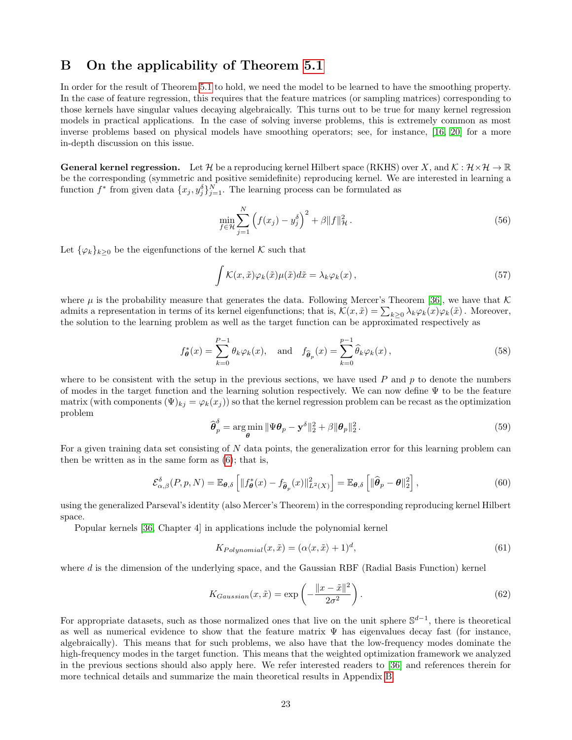# <span id="page-22-0"></span>B On the applicability of Theorem [5.1](#page-7-1)

In order for the result of Theorem [5.1](#page-7-1) to hold, we need the model to be learned to have the smoothing property. In the case of feature regression, this requires that the feature matrices (or sampling matrices) corresponding to those kernels have singular values decaying algebraically. This turns out to be true for many kernel regression models in practical applications. In the case of solving inverse problems, this is extremely common as most inverse problems based on physical models have smoothing operators; see, for instance, [\[16,](#page-9-14) [20\]](#page-10-14) for a more in-depth discussion on this issue.

**General kernel regression.** Let H be a reproducing kernel Hilbert space (RKHS) over X, and  $K: \mathcal{H} \times \mathcal{H} \to \mathbb{R}$ be the corresponding (symmetric and positive semidefinite) reproducing kernel. We are interested in learning a function  $f^*$  from given data  $\{x_j, y_j^{\delta}\}_{j=1}^N$ . The learning process can be formulated as

$$
\min_{f \in \mathcal{H}} \sum_{j=1}^{N} \left( f(x_j) - y_j^{\delta} \right)^2 + \beta \| f \|_{\mathcal{H}}^2.
$$
\n(56)

Let  $\{\varphi_k\}_{k\geq 0}$  be the eigenfunctions of the kernel K such that

$$
\int \mathcal{K}(x,\tilde{x})\varphi_k(\tilde{x})\mu(\tilde{x})d\tilde{x} = \lambda_k \varphi_k(x), \qquad (57)
$$

where  $\mu$  is the probability measure that generates the data. Following Mercer's Theorem [\[36\]](#page-10-15), we have that K admits a representation in terms of its kernel eigenfunctions; that is,  $\mathcal{K}(x,\tilde{x}) = \sum_{k\geq 0} \lambda_k \varphi_k(x) \varphi_k(\tilde{x})$ . Moreover, the solution to the learning problem as well as the target function can be approximated respectively as

$$
f_{\theta}^*(x) = \sum_{k=0}^{P-1} \theta_k \varphi_k(x), \text{ and } f_{\widehat{\theta}_p}(x) = \sum_{k=0}^{P-1} \widehat{\theta}_k \varphi_k(x), \qquad (58)
$$

where to be consistent with the setup in the previous sections, we have used  $P$  and  $p$  to denote the numbers of modes in the target function and the learning solution respectively. We can now define Ψ to be the feature matrix (with components  $(\Psi)_{kj} = \varphi_k(x_j)$ ) so that the kernel regression problem can be recast as the optimization problem

$$
\widehat{\boldsymbol{\theta}}_p^{\delta} = \underset{\boldsymbol{\theta}}{\arg\min} \|\Psi \boldsymbol{\theta}_p - \mathbf{y}^{\delta}\|_2^2 + \beta \|\boldsymbol{\theta}_p\|_2^2. \tag{59}
$$

For a given training data set consisting of N data points, the generalization error for this learning problem can then be written as in the same form as [\(6\)](#page-1-4); that is,

$$
\mathcal{E}_{\alpha,\beta}^{\delta}(P,p,N) = \mathbb{E}_{\theta,\delta}\left[\|f_{\theta}^*(x) - f_{\widehat{\theta}_p}(x)\|_{L^2(X)}^2\right] = \mathbb{E}_{\theta,\delta}\left[\|\widehat{\theta}_p - \theta\|_2^2\right],\tag{60}
$$

using the generalized Parseval's identity (also Mercer's Theorem) in the corresponding reproducing kernel Hilbert space.

Popular kernels [\[36,](#page-10-15) Chapter 4] in applications include the polynomial kernel

$$
K_{Polynomial}(x, \tilde{x}) = (\alpha \langle x, \tilde{x} \rangle + 1)^d,\tag{61}
$$

where  $d$  is the dimension of the underlying space, and the Gaussian RBF (Radial Basis Function) kernel

$$
K_{Gaussian}(x,\tilde{x}) = \exp\left(-\frac{\|x-\tilde{x}\|^2}{2\sigma^2}\right). \tag{62}
$$

For appropriate datasets, such as those normalized ones that live on the unit sphere  $\mathbb{S}^{d-1}$ , there is theoretical as well as numerical evidence to show that the feature matrix  $\Psi$  has eigenvalues decay fast (for instance, algebraically). This means that for such problems, we also have that the low-frequency modes dominate the high-frequency modes in the target function. This means that the weighted optimization framework we analyzed in the previous sections should also apply here. We refer interested readers to [\[36\]](#page-10-15) and references therein for more technical details and summarize the main theoretical results in Appendix [B.](#page-22-0)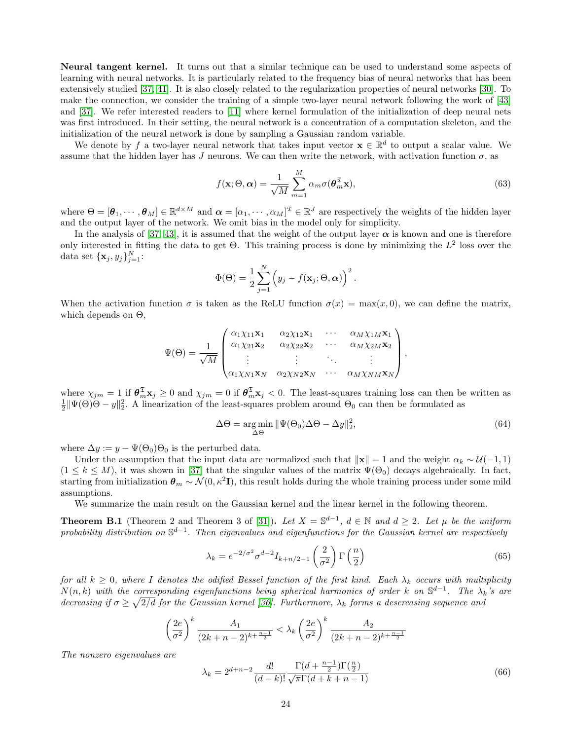Neural tangent kernel. It turns out that a similar technique can be used to understand some aspects of learning with neural networks. It is particularly related to the frequency bias of neural networks that has been extensively studied [\[37,](#page-10-16) [41\]](#page-11-5). It is also closely related to the regularization properties of neural networks [\[30\]](#page-10-17). To make the connection, we consider the training of a simple two-layer neural network following the work of [\[43\]](#page-11-6) and [\[37\]](#page-10-16). We refer interested readers to [\[11\]](#page-9-15) where kernel formulation of the initialization of deep neural nets was first introduced. In their setting, the neural network is a concentration of a computation skeleton, and the initialization of the neural network is done by sampling a Gaussian random variable.

We denote by f a two-layer neural network that takes input vector  $\mathbf{x} \in \mathbb{R}^d$  to output a scalar value. We assume that the hidden layer has J neurons. We can then write the network, with activation function  $\sigma$ , as

$$
f(\mathbf{x}; \Theta, \boldsymbol{\alpha}) = \frac{1}{\sqrt{M}} \sum_{m=1}^{M} \alpha_m \sigma(\boldsymbol{\theta}_m^{\mathfrak{T}} \mathbf{x}),
$$
\n(63)

where  $\Theta = [\theta_1, \dots, \theta_M] \in \mathbb{R}^{d \times M}$  and  $\boldsymbol{\alpha} = [\alpha_1, \dots, \alpha_M]^{\mathfrak{T}} \in \mathbb{R}^J$  are respectively the weights of the hidden layer and the output layer of the network. We omit bias in the model only for simplicity.

In the analysis of [\[37,](#page-10-16) [43\]](#page-11-6), it is assumed that the weight of the output layer  $\alpha$  is known and one is therefore only interested in fitting the data to get  $\Theta$ . This training process is done by minimizing the  $L^2$  loss over the data set  $\{\mathbf x_j, y_j\}_{j=1}^N$ :

$$
\Phi(\Theta) = \frac{1}{2} \sum_{j=1}^{N} \left( y_j - f(\mathbf{x}_j; \Theta, \boldsymbol{\alpha}) \right)^2.
$$

When the activation function  $\sigma$  is taken as the ReLU function  $\sigma(x) = \max(x, 0)$ , we can define the matrix, which depends on  $\Theta$ ,

$$
\Psi(\Theta) = \frac{1}{\sqrt{M}} \begin{pmatrix} \alpha_1 \chi_{11} \mathbf{x}_1 & \alpha_2 \chi_{12} \mathbf{x}_1 & \cdots & \alpha_M \chi_{1M} \mathbf{x}_1 \\ \alpha_1 \chi_{21} \mathbf{x}_2 & \alpha_2 \chi_{22} \mathbf{x}_2 & \cdots & \alpha_M \chi_{2M} \mathbf{x}_2 \\ \vdots & \vdots & \ddots & \vdots \\ \alpha_1 \chi_{N1} \mathbf{x}_N & \alpha_2 \chi_{N2} \mathbf{x}_N & \cdots & \alpha_M \chi_{NM} \mathbf{x}_N \end{pmatrix},
$$

where  $\chi_{jm} = 1$  if  $\theta_m^{\mathfrak{T}} \mathbf{x}_j \ge 0$  and  $\chi_{jm} = 0$  if  $\theta_m^{\mathfrak{T}} \mathbf{x}_j < 0$ . The least-squares training loss can then be written as  $\frac{1}{2} \|\Psi(\Theta)\Theta - y\|_2^2$ . A linearization of the least-squares problem around  $\Theta_$ 

$$
\Delta\Theta = \underset{\Delta\Theta}{\arg\min} \|\Psi(\Theta_0)\Delta\Theta - \Delta y\|_2^2,\tag{64}
$$

where  $\Delta y := y - \Psi(\Theta_0)\Theta_0$  is the perturbed data.

Under the assumption that the input data are normalized such that  $\|\mathbf{x}\| = 1$  and the weight  $\alpha_k \sim \mathcal{U}(-1, 1)$  $(1 \leq k \leq M)$ , it was shown in [\[37\]](#page-10-16) that the singular values of the matrix  $\Psi(\Theta_0)$  decays algebraically. In fact, starting from initialization  $\theta_m \sim \mathcal{N}(0, \kappa^2 I)$ , this result holds during the whole training process under some mild assumptions.

We summarize the main result on the Gaussian kernel and the linear kernel in the following theorem.

**Theorem B.1** (Theorem 2 and Theorem 3 of [\[31\]](#page-10-18)). Let  $X = \mathbb{S}^{d-1}$ ,  $d \in \mathbb{N}$  and  $d \geq 2$ . Let  $\mu$  be the uniform probability distribution on  $\mathbb{S}^{d-1}$ . Then eigenvalues and eigenfunctions for the Gaussian kernel are respectively

$$
\lambda_k = e^{-2/\sigma^2} \sigma^{d-2} I_{k+n/2-1} \left(\frac{2}{\sigma^2}\right) \Gamma\left(\frac{n}{2}\right) \tag{65}
$$

for all  $k \geq 0$ , where I denotes the odified Bessel function of the first kind. Each  $\lambda_k$  occurs with multiplicity  $N(n,k)$  with the corresponding eigenfunctions being spherical harmonics of order k on  $\mathbb{S}^{d-1}$ . The  $\lambda_k$ 's are decreasing if  $\sigma \geq \sqrt{2/d}$  for the Gaussian kernel [\[36\]](#page-10-15). Furthermore,  $\lambda_k$  forms a descreasing sequence and

$$
\left(\frac{2e}{\sigma^2}\right)^k \frac{A_1}{(2k+n-2)^{k+\frac{n-1}{2}}} < \lambda_k \left(\frac{2e}{\sigma^2}\right)^k \frac{A_2}{(2k+n-2)^{k+\frac{n-1}{2}}}
$$

The nonzero eigenvalues are

$$
\lambda_k = 2^{d+n-2} \frac{d!}{(d-k)!} \frac{\Gamma(d + \frac{n-1}{2}) \Gamma(\frac{n}{2})}{\sqrt{\pi} \Gamma(d+k+n-1)}
$$
(66)